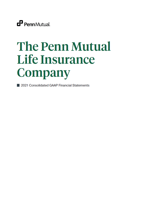

# **The Penn Mutual Life Insurance Company**

2021 Consolidated GAAP Financial Statements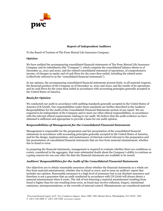

#### **Report of Independent Auditors**

To the Board of Trustees of The Penn Mutual Life Insurance Company:

#### *Opinion*

We have audited the accompanying consolidated financial statements of The Penn Mutual Life Insurance Company and its subsidiaries (the "Company"), which comprise the consolidated balance sheets as of December 31, 2021 and 2020, and the related consolidated statement of operations, of comprehensive income, of changes in equity and of cash flows for the years then ended, including the related notes (collectively referred to as the "consolidated financial statements").

In our opinion, the accompanying consolidated financial statements present fairly, in all material respects, the financial position of the Company as of December 31, 2021 and 2020, and the results of its operations and its cash flows for the years then ended in accordance with accounting principles generally accepted in the United States of America.

#### *Basis for Opinion*

We conducted our audit in accordance with auditing standards generally accepted in the United States of America (US GAAS). Our responsibilities under those standards are further described in the Auditors' Responsibilities for the Audit of the Consolidated Financial Statements section of our report. We are required to be independent of the Company and to meet our other ethical responsibilities, in accordance with the relevant ethical requirements relating to our audit. We believe that the audit evidence we have obtained is sufficient and appropriate to provide a basis for our audit opinion.

#### *Responsibilities of Management for the Consolidated Financial Statements*

Management is responsible for the preparation and fair presentation of the consolidated financial statements in accordance with accounting principles generally accepted in the United States of America, and for the design, implementation, and maintenance of internal control relevant to the preparation and fair presentation of consolidated financial statements that are free from material misstatement, whether due to fraud or error.

In preparing the financial statements, management is required to evaluate whether there are conditions or events, considered in the aggregate, that raise substantial doubt about the Company's ability to continue as a going concern for one year after the date the financial statements are available to be issued.

#### *Auditors' Responsibilities for the Audit of the Consolidated Financial Statements*

Our objectives are to obtain reasonable assurance about whether the financial statements as a whole are free from material misstatement, whether due to fraud or error, and to issue an auditors' report that includes our opinion. Reasonable assurance is a high level of assurance but is not absolute assurance and therefore is not a guarantee that an audit conducted in accordance with US GAAS will always detect a material misstatement when it exists. The risk of not detecting a material misstatement resulting from fraud is higher than for one resulting from error, as fraud may involve collusion, forgery, intentional omissions, misrepresentations, or the override of internal control. Misstatements are considered material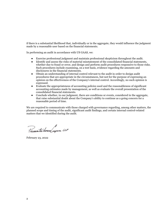if there is a substantial likelihood that, individually or in the aggregate, they would influence the judgment made by a reasonable user based on the financial statements.

In performing an audit in accordance with US GAAS, we:

- Exercise professional judgment and maintain professional skepticism throughout the audit.
- Identify and assess the risks of material misstatement of the consolidated financial statements, whether due to fraud or error, and design and perform audit procedures responsive to those risks. Such procedures include examining, on a test basis, evidence regarding the amounts and disclosures in the financial statements.
- Obtain an understanding of internal control relevant to the audit in order to design audit procedures that are appropriate in the circumstances, but not for the purpose of expressing an opinion on the effectiveness of the Company's internal control. Accordingly, no such opinion is expressed.
- Evaluate the appropriateness of accounting policies used and the reasonableness of significant accounting estimates made by management, as well as evaluate the overall presentation of the consolidated financial statements.
- Conclude whether, in our judgment, there are conditions or events, considered in the aggregate, that raise substantial doubt about the Company's ability to continue as a going concern for a reasonable period of time.

We are required to communicate with those charged with governance regarding, among other matters, the planned scope and timing of the audit, significant audit findings, and certain internal control-related matters that we identified during the audit.

Pricewater house open us

February 23, 2022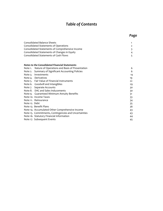# *Table of Contents*

|                                                 | Consolidated Balance Sheets                            | 1  |
|-------------------------------------------------|--------------------------------------------------------|----|
| <b>Consolidated Statements of Operations</b>    | $\overline{2}$                                         |    |
| Consolidated Statements of Comprehensive Income | 3                                                      |    |
|                                                 | Consolidated Statements of Changes in Equity           | 4  |
|                                                 | <b>Consolidated Statements of Cash Flows</b>           | 5  |
|                                                 | Notes to the Consolidated Financial Statements         |    |
|                                                 | Note 1. Nature of Operations and Basis of Presentation | 6  |
|                                                 | Note 2. Summary of Significant Accounting Policies     | 6  |
|                                                 | Note 3. Investments                                    | 14 |
|                                                 | Note 4. Derivatives                                    | 19 |
|                                                 | Note 5. Fair Value of Financial Instruments            | 22 |
|                                                 | Note 6. Goodwill and Intangibles                       | 29 |
|                                                 | Note 7. Separate Accounts                              | 30 |
|                                                 | Note 8. DAC and Sales Inducements                      | 30 |
|                                                 | Note 9. Guaranteed Minimum Annuity Benefits            | 31 |
|                                                 | Note 10. Income Taxes                                  | 33 |
|                                                 | Note 11. Reinsurance                                   | 34 |
| Note 12. Debt                                   |                                                        | 35 |
|                                                 | Note 13. Benefit Plans                                 | 36 |
|                                                 | Note 14. Accumulated Other Comprehensive Income        | 43 |
|                                                 | Note 15. Commitments, Contingencies and Uncertainties  | 43 |
|                                                 | Note 16. Statutory Financial Information               | 44 |
|                                                 | Note 17. Subsequent Events                             | 45 |
|                                                 |                                                        |    |

# *Page*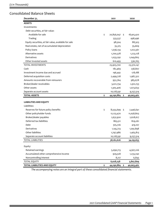# Consolidated Balance Sheets

| December 31,                                         | 2021                 | 2020                   |
|------------------------------------------------------|----------------------|------------------------|
| <b>ASSETS</b>                                        |                      |                        |
| Investments:                                         |                      |                        |
| Debt securities, at fair value:                      |                      |                        |
| Available for sale                                   | \$<br>20,856,047 \$  | 18,915,420             |
| Trading                                              | 533,537              | 498,496                |
| Equity securities, at fair value, available for sale | 98,504               | 88,303                 |
| Real estate, net of accumulated depreciation         | 35,315               | 35,669                 |
| Policy loans                                         | 1,036,134            | 1,022,561              |
| Alternative assets                                   | 1,700,378            | 1,223,128              |
| Derivatives                                          | 1,033,292            | 1,049,805              |
| Other invested assets                                | 610,493              | 536,765                |
| TOTAL INVESTMENTS                                    | 25,903,700           | 23,370,147             |
| Cash                                                 | 182,469              | 238,807                |
| Investment income due and accrued                    | 196,492              | 178,188                |
| Deferred acquisition costs                           | 2,499,728            | 1,987,322              |
| Amounts recoverable from reinsurers                  | 952,764              | 985,678                |
| Broker/dealer receivables                            | 3,021,734            | 2,912,153              |
| Other assets                                         | 1,305,406            | 1,073,653              |
| Separate account assets                              | 10,128,591           | 9,257,514              |
| <b>TOTAL ASSETS</b>                                  | \$<br>44,190,884     | \$<br>40,003,462       |
|                                                      |                      |                        |
| <b>LIABILITIES AND EQUITY</b>                        |                      |                        |
| Liabilities:                                         |                      |                        |
| Reserves for future policy benefits                  | \$<br>8,555,699      | \$<br>7,446,641        |
| Other policyholder funds                             | 12,123,470           | 11,058,803             |
| Broker/dealer payables                               | 2,631,920            | 2,628,617              |
| Deferred tax liabilities                             | 863,511              | 829,261                |
| Debt                                                 | 915,726              | 419,107                |
| Derivatives                                          | 1,145,723            | 1,091,898              |
| Other liabilities                                    | 1,797,986            | 1,463,813              |
| Separate account liabilities                         | 10,128,591           | 9,257,514              |
| <b>TOTAL LIABILITIES</b>                             | 38,162,626           | 34,195,653             |
| Equity:                                              |                      |                        |
|                                                      |                      |                        |
| Retained earnings                                    |                      |                        |
| Accumulated other comprehensive income               | 5,090,713<br>929,328 | 4,567,226<br>1,233,740 |
| Noncontrolling interest                              | 8,217                | 6,843                  |
| <b>TOTAL EQUITY</b>                                  | 6,028,258            | 5,807,809              |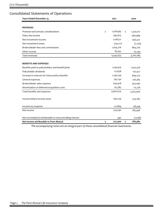# Consolidated Statements of Operations

| Years Ended December 31,                                  | 2021            | 2020            |
|-----------------------------------------------------------|-----------------|-----------------|
|                                                           |                 |                 |
| <b>REVENUES</b>                                           |                 |                 |
| Premium and annuity considerations                        | \$<br>1,528,993 | \$<br>1,250,017 |
| Policy fee income                                         | 585,873         | 566,989         |
| Net investment income                                     | 1,418,511       | 950,527         |
| Net investment losses                                     | (130, 111)      | (7,219)         |
| Broker/dealer fees and commissions                        | 1,054,726       | 864,726         |
| Other income                                              | 87,641          | 75,149          |
| <b>Total revenues</b>                                     | 4,545,633       | 3,700,189       |
|                                                           |                 |                 |
| <b>BENEFITS AND EXPENSES</b>                              |                 |                 |
| Benefits paid to policyholders and beneficiaries          | 1,156,974       | 1,032,576       |
| Policyholder dividends                                    | 117,658         | 107,427         |
| Increase in reserves for future policy benefits           | 1,136,209       | 894,270         |
| General expenses                                          | 792,130         | 726,363         |
| Broker/dealer sales expense                               | 634,918         | 503,090         |
| Amortization of deferred acquisition costs                | 62,585          | 112,178         |
| Total benefits and expenses                               | 3,900,474       | 3,375,904       |
|                                                           |                 |                 |
| Income before income taxes                                | 645,159         | 324,285         |
| Income tax expense                                        | 121,869         | 38,349          |
| Net income                                                | 523,290         | 285,936         |
| Net income/(loss) attributable to noncontrolling interest | 390             | (1,048)         |
| Net income attributable to Penn Mutual                    | \$<br>522,900   | \$<br>286,984   |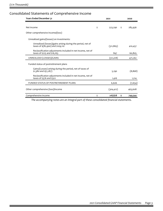# Consolidated Statements of Comprehensive Income

| Years Ended December 31                                                                          | 2021                | 2020     |  |  |
|--------------------------------------------------------------------------------------------------|---------------------|----------|--|--|
|                                                                                                  |                     |          |  |  |
| Net income                                                                                       | \$<br>\$<br>523,290 | 285,936  |  |  |
| Other comprehensive income/(loss)                                                                |                     |          |  |  |
| Unrealized gains/(losses) on investments:                                                        |                     |          |  |  |
| Unrealized (losses)/gains arising during the period, net of<br>taxes of \$(82,900) and \$109,110 | (311, 865)          | 410,457  |  |  |
| Reclassification adjustments included in net income, net of<br>taxes of \$225 and \$16,163       | 847                 | 60,805   |  |  |
| UNREALIZED (LOSSES)/GAINS                                                                        | (311,018)           | 471,262  |  |  |
| Funded status of postretirement plans                                                            |                     |          |  |  |
| Gains/(Losses) arising during the period, net of taxes of<br>$$1,380$ and $$(2,287)$             | 5,190               | (8,868)  |  |  |
| Reclassification adjustments included in net income, net of<br>taxes of \$376 and \$322          | 1,416               | 1,214    |  |  |
| FUNDED STATUS OF POSTRETIREMENT PLANS                                                            | 6,606               | (7, 654) |  |  |
| Other comprehensive (loss)/income                                                                | (304, 412)          | 463,608  |  |  |
| Comprehensive income                                                                             | \$<br>218,878<br>\$ | 749,544  |  |  |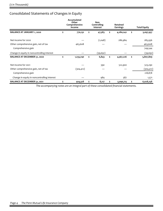# Consolidated Statements of Changes in Equity

|                                             | Accumulated<br>Other<br>Comprehensive<br>Income | Non-<br>Controlling<br><b>Interest</b> | Retained<br>Earnings |    | <b>Total Equity</b> |
|---------------------------------------------|-------------------------------------------------|----------------------------------------|----------------------|----|---------------------|
| <b>BALANCE AT JANUARY 1, 2020</b>           | \$<br>770,132                                   | \$<br>47,583                           | \$<br>4,280,242      | \$ | 5,097,957           |
| Net income for 2020                         |                                                 | (1,048)                                | 286,984              |    | 285,936             |
| Other comprehensive gain, net of tax        | 463,608                                         |                                        |                      |    | 463,608             |
| Comprehensive gain                          |                                                 |                                        |                      |    | 749,544             |
| Change in equity in noncontrolling interest |                                                 | (39, 692)                              |                      |    | (39, 692)           |
| BALANCE AT DECEMBER 31, 2020                | \$<br>1,233,740                                 | \$<br>6,843                            | \$<br>4,567,226      | \$ | 5,807,809           |
| Net income for 2021                         |                                                 | 390                                    | 522,900              |    | 523,290             |
| Other comprehensive gain, net of tax        | (304, 412)                                      |                                        |                      |    | (304, 412)          |
| Comprehensive gain                          |                                                 |                                        |                      |    | 218,878             |
| Change in equity in noncontrolling interest |                                                 | 984                                    | 587                  |    | 1,571               |
| BALANCE AT DECEMBER 31, 2021                | \$<br>929,328                                   | \$<br>8,217                            | \$<br>5,090,713      | s  | 6,028,258           |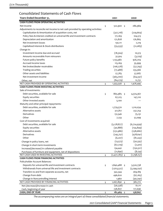# Consolidated Statements of Cash Flows

| Years Ended December 31,                                                          | 2021                                   | 2020                |
|-----------------------------------------------------------------------------------|----------------------------------------|---------------------|
| <b>CASH FLOWS FROM OPERATING ACTIVITIES</b>                                       |                                        |                     |
| Net income                                                                        | \$<br>522,900 \$                       | 286,984             |
| Adjustments to reconcile net income to net cash provided by operating activities: |                                        |                     |
| Capitalization & Amortization of acquisition costs, net                           | (327,718)                              | (229, 664)          |
| Policy fees & interest credited on universal life and investment contracts        | 171,169                                | 104,513             |
| Depreciation and amortization                                                     | 172,828                                | 176,865             |
| Net investment losses                                                             | 130,111                                | 7,219               |
| Capitalized interest & Stock distributions                                        | (55, 533)                              | (21,083)            |
| Change in:                                                                        |                                        |                     |
| Investment income due and accrued                                                 | (18, 304)                              | 10,513              |
| Amounts recoverable from reinsurers                                               | 32,914                                 | (3,229)             |
| Future policy benefits                                                            | 1,153,982                              | 926,704             |
| Accrued income taxes                                                              | 115,169                                | 35,999              |
| Net broker/dealer receivables                                                     | (106, 278)                             | (57, 793)           |
| Trading securities                                                                | (17, 488)                              | 233,366             |
| Other assets and liabilities                                                      | 27,783                                 | 57,687              |
| Net investment income                                                             | (363,700)                              | (64, 337)           |
|                                                                                   | (84,279)                               |                     |
| Other, net<br>NET CASH PROVIDED BY OPERATING ACTIVITIES                           |                                        | 12,751<br>1,476,495 |
| <b>CASH FLOWS FROM INVESTING ACTIVITIES</b>                                       | \$<br>1,353,556<br>\$                  |                     |
| Sale of investments:                                                              |                                        |                     |
| Debt securities, available for sale                                               | 865,985 \$                             |                     |
| Equity securities                                                                 | \$<br>67,225                           | 4,374,367           |
| Other invested assets                                                             |                                        | 147,210             |
|                                                                                   | 5,100                                  |                     |
| Maturity and other principal repayments:                                          |                                        |                     |
| Debt securities, available for sale                                               | 1,779,570                              | 1,210,034           |
| Alternative assets                                                                | 317,817                                | 237,754             |
| Derivatives                                                                       | 131,546                                | 75,131              |
| Other                                                                             | 7,233                                  | 52,099              |
| Cost of investments acquired:                                                     |                                        |                     |
| Debt securities, available for sale                                               | (5, 178, 877)                          | (6,724,939)         |
| Equity securities                                                                 | (30, 888)                              | (154, 849)          |
| Alternative assets                                                                | (231,986)                              | (238, 680)          |
| Derivatives                                                                       | (245,751)                              | (478, 641)          |
| Other                                                                             | (6,207)                                | (81,243)            |
| Change in policy loans, net                                                       | (13, 573)                              | (50, 335)           |
| Change in short-term investments                                                  | (67, 729)                              | (7, 410)            |
| Increase/(decrease) in collateral payable                                         | 134,442                                | (150, 521)          |
| Purchases of furniture and equipment, net of dispositions                         | (11, 690)                              | (8, 134)            |
| NET CASH USED IN INVESTING ACTIVITIES                                             | \$<br>$(2,477,783)$ \$                 | (1,798,157)         |
| <b>CASH FLOWS FROM FINANCING ACTIVITIES</b>                                       |                                        |                     |
| Policyholder Account Balances:                                                    |                                        |                     |
| Deposits for universal life and investment contracts                              | \$<br>1,840,488 \$                     | 3,520,738           |
| Withdrawals from universal life and investment contracts                          | (1,613,522)                            | (3, 299, 250)       |
| Transfers to and from separate accounts, net                                      | 342,344                                | 269,189             |
| Change from debt                                                                  | 496,620                                | (67, 165)           |
| Change in Noncontrolling interest                                                 | 1,960                                  | (40,740)            |
| NET CASH PROVIDED BY FINANCING ACTIVITIES                                         | \$<br>1,067,890<br>$\ddot{\mathsf{s}}$ | 382,772             |
| Net (decrease)/increase in cash                                                   | (56,338)                               | 61,111              |
| Cash, beginning of year                                                           | 238,807                                | 177,696             |
| <b>CASH, END OF YEAR</b>                                                          | \$<br>182,469<br>\$                    | 238,807             |
|                                                                                   |                                        |                     |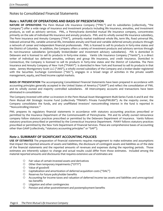# Notes to Consolidated Financial Statements

# *Note 1.* **NATURE OF OPERATIONS AND BASIS OF PRESENTATION**

**NATURE OF OPERATIONS** The Penn Mutual Life Insurance Company ("PML") and its subsidiaries (collectively, "the Company") offer a wide range of insurance and investment products including life insurance, annuities, and investment products, as well as advisory services. PML, a Pennsylvania domiciled mutual life insurance company, concentrates primarily on the sale of individual life insurance and annuity products. PML and its wholly owned life insurance subsidiary, The Penn Insurance and Annuity Company ("PIA"), primarily market traditional whole life, term life, fixed universal life, indexed universal life, variable universal life, immediate annuity and fixed and variable deferred annuity products through a network of career and independent financial professionals. PML is licensed to sell its products in forty-nine states and the District of Columbia. In addition, the Company offers a variety of investment products and advisory services through its non-insurance subsidiaries (principally broker/dealer and investment advisory subsidiaries). PIA is domiciled in Delaware and is licensed to sell its products in forty-nine states. Vantis Life Insurance Company ("Vantis"), is a direct writer of individual tax deferred annuities, ordinary and group life insurance, and credit insurance. Domiciled in Connecticut, the Company is licensed to sell its products in forty-nine states and the District of Columbia. The Penn Insurance and Annuity Company of New York ("PIANY") is domiciled in New York and licensed to sell its products in that state. Janney Montgomery Scott LLC ("JMS"), a wholly owned subsidiary of the Company and a broker-dealer registered with the Securities Exchange Commission ("SEC"), engages in a broad range of activities in the private wealth management, equity, and fixed income capital markets.

**BASIS OF PRESENTATION** The accompanying Consolidated Financial Statements have been prepared in accordance with accounting principles generally accepted in the United States of America ("GAAP") and reflect the consolidation of PML and its wholly owned and majority controlled subsidiaries. All intercompany accounts and transactions have been eliminated in consolidation.

The Company invested with other co-investors in the Penn Mutual Asset Management Multi-Series Funds A and B and the Penn Mutual AM Strategic Income Fund (collectively "PMAM's Private Funds/PMUBX"). As the majority owner, the Company consolidates the funds, and any unaffiliated investors' noncontrolling interest in the fund is reported in "Noncontrolling interest."

PML prepares its regulatory financial statements in accordance with statutory accounting practices prescribed or permitted by the Insurance Department of the Commonwealth of Pennsylvania. PIA and its wholly owned reinsurance company follow statutory practices prescribed or permitted by the Delaware Department of Insurance. Vantis follows statutory practices prescribed or permitted by the Connecticut Insurance Department. PIANY follows statutory practices prescribed or permitted by the New York Department of Financial Services. These are comprehensive bases of accounting other than GAAP (collectively, "statutory accounting principles" or "SAP").

# *Note 2.* **SUMMARY OF SIGNIFICANT ACCOUNTING POLICIES**

**USE OF ESTIMATES** The preparation of financial statements requires management to make estimates and assumptions that impact the reported amounts of assets and liabilities, the disclosure of contingent assets and liabilities as of the date of the financial statements and the reported amounts of revenues and expenses during the reporting periods. Those estimates are inherently subject to change and actual results could differ from those estimates. Included among the material reported amounts and disclosures that requires extensive use of estimates are:

- $\diamondsuit$  Fair value of certain invested assets and derivatives
- $\Diamond$  Other then temporary impairments ("OTTI")
- $\diamondsuit$  Value of goodwill
- $\Diamond$  Capitalization and amortization of deferred acquisition costs ("DAC")
- $\diamondsuit$  Reserves for future policyholder benefits
- $\diamondsuit$  Accounting for income taxes and valuation of deferred income tax assets and liabilities and unrecognized tax benefits
- $\diamondsuit$  Litigation and other contingencies
- $\diamondsuit$  Pension and other postretirement and postemployment benefits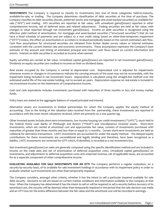**INVESTMENTS** The Company is required to classify its investments into one of three categories: held-to-maturity, available-for-sale, or trading. The Company determines classification of debt securities at the time of purchase. The Company classifies its debt securities (bonds, preferred stocks and mortgage and asset-backed securities) as available-forsale ("AFS") and trading. AFS securities are reported at fair value, with unrealized gains/(losses) reported in other comprehensive income, net of deferred taxes and related adjustments. Trading securities are held at fair value, with changes in value reported through net investment gains/(losses). Income on debt securities is recognized using the effective yield method of amortization. For mortgage and asset-backed securities ("structured securities") that do not have a fixed schedule of payments and are subject to a non credit rating based on other-than-temporary impairment ("OTTI") review, the effect on amortization or accretion is revalued periodically based on the current estimated cash flow. Cash flow assumptions for structured securities are obtained from broker dealer survey values or internal estimates consistent with the current interest rate and economic environments. These assumptions represent the Company's best estimate of the amount and timing of estimated principal and interest cash flows based on current information and events. Interest on debt securities is recorded as income when earned.

Equity securities are carried at fair value. Unrealized capital gains/(losses) are reported in net investment gains/(losses). Dividends on equity securities are credited to income on their ex-dividend dates.

Real estate occupied by the Company is carried at depreciated cost. Depreciated cost is adjusted for impairments whenever events or changes in circumstances indicate the carrying amount of the asset may not be recoverable, with the impairment being included in net investment losses. Depreciation is calculated using the straight-line method over the estimated useful life of the real estate holding, not to exceed 40 years. Depreciation expense on real estate is included in net investment income on the Statements of Comprehensive Income.

Cash and cash equivalents includes investments purchased with maturities of three months or less and money market funds.

Policy loans are stated at the aggregate balance of unpaid principal and interest.

Alternative assets are investments in limited partnerships for which the Company applies the equity method of accounting. Due to the timing of the valuation data received from the partnership, these investments are reported in accordance with the most recent valuations received, which are primarily on a one quarter lag.

Other invested assets include short-term investments, low income housing tax credit investments ("LIHTC"), stock held in the Federal Home Loan Banks of Pittsburgh and Boston ("FHLB") and miscellaneous invested assets. Short-term investments, which are carried at amortized cost and approximate fair value, consists of investments purchased with maturities of greater than three months and less than or equal to 12 months. Certain short-term investments are held as collateral for derivative transactions. LIHTC investments are accounted for under the equity method. The delayed equity contributions for these investments are unconditional and legally binding and therefore, have been recognized as a liability. LIHTC investments are reviewed for OTTI which, if identified, is recorded as a net investment loss.

Net investment gains/(losses) on sales are generally computed using the specific identification method and are included in income on the trade date and net of amortization of deferred acquisition costs. Unrealized capital gains/(losses) on investments, and adjustments to deferred acquisition costs and unearned revenue, net of applicable taxes, are accounted for as a separate component of other comprehensive income.

**EVALUATING AVAILABLE FOR SALE INVESTMENTS FOR AN OTTI** The Company performs a regular evaluation, on a security-by-security basis, of its available for sale investment holdings in accordance with its impairment policy in order to evaluate whether such investments are other-than-temporarily impaired.

The Company considers, amongst other criteria, whether it has the intent to sell a particular impaired available for sale debt security. Decisions to sell are based on current market conditions and information available to the Company at that time. When the Company has determined it has the intent to sell or will be required to sell a security before recovery of its amortized cost, the security will be deemed other-than-temporarily impaired in the period that the sale decision was made and an OTTI loss for the entire difference between the fair value and the amortized cost will be recorded in earnings.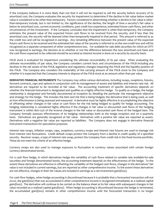If the Company believes it is more likely than not that it will not be required to sell the security before recovery of its amortized cost, the Company evaluates the security for impairment to determine if the decline in fair value below market value is considered to be other-than-temporary. Factors considered in determining whether a decline in fair value is otherthan-temporary include, but is not limited to, the significance of the decline, the length of time a security's fair value is below its amortized cost, current economic conditions, past credit loss experience, estimated future cash flows, and other circumstances of the investment. If the Company concludes that the impairment is other-than-temporary, the Company estimates the present value of the expected future cash flows to be received from the security, and if less than the amortized cost, the security will be deemed other-than-temporarily impaired in that period. This amount is referred to as the credit loss and will be recognized in earnings. Any remaining difference between the present value of the expected future cash flows to be received and the estimated fair value of the security is referred to as the non-credit loss and will be recognized as a separate component of other comprehensive loss. For available for sale debt securities for which an OTTI was recognized in earnings, the decision as to whether or not the difference between the new amortized cost basis and the cash flows expected to be collected should be accreted as interest income is done on a security by security basis.

FHLB stock is evaluated for impairment considering the ultimate recoverability of its par value. When evaluating the ultimate recoverability of par value, the Company considers current facts and circumstances of the FHLB including any declines in the net assets of the FHLB, legislative and regulatory changes impacting the FHLB and the liquidity position of the FHLB. The Company also considers the materiality of the carrying amount of the FHLB stock to the Company and whether it is expected that the Company intends to dispose of the FHLB stock at an amount other than par value.

**DERIVATIVE FINANCIAL INSTRUMENTS** The Company may utilize various derivatives, including swaps, swaptions, futures, forward contracts, caps and options in conjunction with its management of assets and liabilities and interest rate risk. All derivatives are required to be recorded at fair value. The accounting treatment of specific derivatives depends on whether the financial instrument is designated and qualifies as a highly effective hedge. To qualify as a hedge, the hedge relationship is designated and formally documented at inception by detailing the particular risk management objective and strategy for the hedge. This includes the item and risk that is being hedged, the derivative that is being used, as well as how effectiveness is being assessed and measured. A derivative must be highly effective in accomplishing the objective of offsetting either changes in fair value or cash flows for the risk being hedged to qualify for hedge accounting. The hedging relationship is considered highly effective if the changes in fair value or discounted cash flows of the hedging instrument is within 80%-125% of the inverse changes in the fair value or discounted cash flows of the hedged item. The Company formally assesses effectiveness of its hedging relationships both at the hedge inception and on a quarterly basis. Derivatives are generally recognized at fair value. Derivatives with a positive fair value are reported as assets. Derivatives with a negative fair value are reported as liabilities. The Company does not engage in derivative financial instrument transactions for speculative purposes.

Interest rate swaps, inflation swaps, caps, swaptions, currency swaps and interest rate futures are used to manage risk from interest rate fluctuations. Credit default swaps protect the Company from a decline in credit quality of a specified security. Receiver swaps, a type of interest rate swap, protect the Company from credit risk in the fixed income portfolio. These do not meet the criteria of an effective hedge.

Currency swaps are also used to manage exposure to fluctuation in currency values associated with certain foreign currency denominated bonds.

For a cash flow hedge, in which derivatives hedge the variability of cash flows related to variable rate available-for-sale securities and foreign denominated bonds, the accounting treatment depends on the effectiveness of the hedge. To the extent these derivatives are effective in offsetting the variability of the hedged cash flows, changes in the derivatives' fair value is not included in current earnings, but are reported as other comprehensive income. To the extent these derivatives are not effective, changes in their fair values are included in earnings as a net investment gain/(loss).

For cash flow hedges, when hedge accounting is discontinued because it is probable that a forecasted transaction will not occur, the gain/(loss) that was accumulated in other comprehensive income is recognized immediately as a realized capital gain/(loss). The derivative will continue to be carried on the balance sheet at its fair value with subsequent changes in fair value recorded as a realized capital gain/(loss). When hedge accounting is discontinued because the hedge is terminated, the accumulated gain/(loss) remains in other comprehensive income until the forecasted transaction is no longer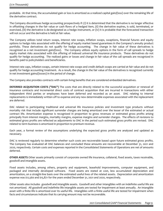probable. At that time, the accumulated gain or loss is amortized as a realized capital gain/(loss) over the remaining life of the derivative contract.

The Company discontinues hedge accounting prospectively if: (i) it is determined that the derivative is no longer effective in offsetting changes in the fair value or cash flows of a hedged item, (ii) the derivative expires, is sold, terminated, or exercised, (iii) the derivative is de-designated as a hedge instrument, or (iv) it is probable that the forecasted transaction will not occur and the derivative is held at fair value.

The Company utilizes total return swaps, interest rate swaps, inflation swaps, swaptions, financial futures and equity options to hedge risks associated with the offering of equity market based guarantees in the Company's annuity product portfolio. These derivatives do not qualify for hedge accounting. The change in fair value of these derivatives is recognized as a net investment gain/(loss). The Company utilizes equity options in the form of call spreads to hedge equity market risks associated with the offering of indexed universal life insurance products. These derivatives do not qualify for hedge accounting. The realized gains or losses and change in fair value of the call spreads are recognized in benefits paid to policyholders and beneficiaries.

Interest rate caps, inflation swaps, certain interest rate swaps and credit default swaps are carried at fair value and do not qualify for hedge accounting treatment. As a result, the change in the fair value of the derivatives is recognized currently in net investment gains/(losses) in the period of change.

The Company also provides contracts with certain living benefits that are considered embedded derivatives.

**DEFERRED ACQUISITION COSTS ("DAC")** The costs that are directly related to the successful acquisition or renewal of insurance contracts and incremental direct costs of contract acquisition that are incurred in transactions with either independent third parties or employees have been deferred and recorded as an asset. DAC relating to internal replacements is immediately written off to expense and any new determinable expenses associated with the replacement are deferred.

DAC related to participating traditional and universal life insurance policies and investment type products without mortality risk that include significant surrender charges are being amortized over the lesser of the estimated or actual contract life. Amortization expense is recognized in proportion to gross revenues or estimated gross profits arising principally from interest margins, mortality margins, expense margins and surrender charges. The effects of revisions to estimated gross profits are reflected as adjustments to DAC in the period such estimated gross profits are revised. DAC related to term business is amortized in proportion to premium revenue.

Each year, a formal review of the assumptions underlying the expected gross profits are analyzed and updated as necessary.

DAC is reviewed regularly to determine whether such costs are recoverable based upon future estimated gross profits. The Company has evaluated all DAC balances and concluded these amounts are recoverable at December 31, 2021 and 2020, respectively. Certain costs and expenses reported in the Consolidated Statements of Operations are net of amounts deferred.

**OTHER ASSETS** Other assets primarily consist of corporate owned life insurance, collateral, fixed assets, taxes receivable, goodwill and intangible assets.

Fixed assets includes, among others, property and equipment, leasehold improvements, computer equipment, and packaged and internally developed software. Fixed assets are stated at cost, less accumulated depreciation and amortization, on a straight-line basis over the estimated useful lives of the related assets. Depreciation and amortization expense was \$12,560 and \$15,871 for the years ended December 31, 2021 and 2020, respectively.

Other assets also includes goodwill and intangible assets. Goodwill and other intangibles with an indefinite useful life are not amortized. All goodwill and indefinite life intangible assets are tested for impairment at least annually. An intangible asset with a finite life is amortized over its useful life. Intangibles with a finite useful life are tested for impairment when facts and circumstances indicate that its carrying amount may not be recoverable.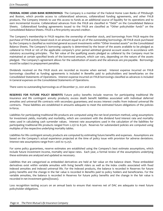**FEDERAL HOME LOAN BANK BORROWINGS** The Company is a member of the Federal Home Loan Banks of Pittsburgh and Boston, which provide access to collateralized advances, collateralized funding agreements, and other FHLB products. The Company intends to use this access to funds as an additional source of liquidity for its operations and to earn incremental income. Collateralized advances from the FHLB are classified in "Debt" on the Consolidated Balance Sheets. Collateralized funding agreements issued to the FHLB are classified as "Other policyholder funds" on the Consolidated Balance Sheets. FHLB is a first-priority secured creditor.

The Company's membership in FHLB requires the ownership of member stock, and borrowings from FHLB require the purchase of FHLB activity based stock in an amount equal to 4% of the outstanding borrowings. All FHLB stock purchased by the Company is classified as restricted general account investments within "Other invested assets" on the Consolidated Balance Sheets. The Company's borrowing capacity is determined by the lesser of the assets available to be pledged as collateral to FHLB or 10% of the applicable company's prior period admitted general account assets in accordance with statutory accounting principles. The fair value of the qualifying assets pledged as collateral by the Company must be maintained at certain specified levels of the borrowed amount, which can vary, depending on the nature of the assets pledged. The Company's agreement allows for the substitution of assets and the advances are pre-payable. Borrowings would be subject to prepayment penalties.

Dividends received on the FHLB stock are recorded as income when earned. Interest expense incurred on FHLB borrowings classified as funding agreements is included in Benefits paid to policyholders and beneficiaries on the Consolidated Statements of Operations. Interest expense incurred on FHLB borrowings classified as advances is included in General expenses on the Consolidated Statements of Operations.

There were no outstanding borrowings as of December 31, 2021 and 2020.

**RESERVES FOR FUTURE POLICY BENEFITS** Future policy benefits include reserves for participating traditional life insurance and life contingent annuity products; excess death benefit liabilities associated with individual deferred annuities and universal life contracts with secondary guarantees; and excess interest credits from indexed universal life contracts. These liabilities are established in amounts adequate to meet the estimated future obligations of the policies in-force.

Liabilities for participating traditional life products are computed using the net level premium method, using assumptions for investment yields, mortality and morbidity, which are consistent with the dividend fund interest rate and mortality rates used in calculating cash surrender values. Interest rate assumptions used in the calculation of the liabilities for participating traditional life products ranged from 2.25% to 8.50%. Reserves for substandard policies are computed using multiples of the respective underlying mortality tables.

Liabilities for life contingent annuity products are computed by estimating future benefits and expenses. Assumptions are based on the Company's actual experience projected at the time of policy issue with provision for adverse deviations. Interest rate assumptions range from 1.00% to 13.25%.

For some policy guarantees, reserve estimates are established using the Company's best estimate assumptions, which include future investment income, mortality and lapse rates. Each year, a formal review of the assumptions underlying these estimates are analyzed and updated as necessary.

Liabilities that are categorized as embedded derivatives are held at fair value on the balance sheet. These embedded derivatives exist within variable annuities with living benefit riders as well as the index credits associated with fixed indexed annuities and indexed universal life. For the indexed products, the balance is recorded in Reserves for future policy benefits and the change in the fair value is recorded in Benefits paid to policy holders and beneficiaries. For the variable annuities, the balance is recorded in Reserves for future policy benefits and the change in the fair value is recorded in net investment gains/(losses).

Loss recognition testing occurs on an annual basis to ensure that reserves net of DAC are adequate to meet future policyholder obligations.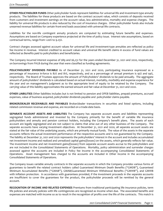**OTHER POLICYHOLDER FUNDS** Other policyholder funds represent liabilities for universal life and investment-type annuity products. The liabilities for these products are based on the contract account value, which consists of deposits received from customers and investment earnings on the account value, less administrative, mortality and expense charges. The liability for universal life products is also reduced by the cost of insurance charges. Other policyholder funds also include unearned revenue liabilities for certain front-end loads associated with universal life contracts.

Liabilities for the non-life contingent annuity products are computed by estimating future benefits and expenses. Assumptions are based on Company experience projected at the time of policy issue. Interest rate assumptions, based on contractual terms, range from 1.00% to 9.25%.

Contract charges assessed against account values for universal life and investment-type annuities are reflected as policy fee income in revenue. Interest credited to account values and universal life benefit claims in excess of fund values are reflected as Benefits paid to policyholders and beneficiaries.

The Company incurred interest expense of \$89 and \$6,231 for the years ended December 31, 2021 and 2020, respectively, on borrowings from FHLB during the year that were classified as funding agreements.

**POLICYHOLDERS' DIVIDENDS PAYABLE** As of December 31, 2021 and 2020, participating insurance expressed as a percentage of insurance in-force is 82% and 81%, respectively, and as a percentage of annual premium is 95% and 94%, respectively. The Board of Trustees approves the amount of Policyholders' dividends to be paid annually. The aggregate amount of policyholders' dividends is calculated based on actual interest, mortality, morbidity and expense experience for the year and on management's judgment as to the appropriate level of equity to be retained by the Company. The carrying value of this liability approximates the earned amount and fair value at December 31, 2021 and 2020.

**OTHER LIABILITIES** Other liabilities includes but is not limited to pension and OPEB liabilities, prepaid premiums, accrued expenses, value of business acquired, policyholder dividends payable and policyholder claims payable.

**BROKER/DEALER RECEIVABLES AND PAYABLES** Broker/dealer transactions in securities and listed options, including related commission revenue and expense, are recorded on a trade-date basis.

**SEPARATE ACCOUNT ASSETS AND LIABILITIES** The Company has separate account assets and liabilities representing segregated funds administered and invested by the Company primarily for the benefit of variable life insurance policyholders and annuity and pension contract holders, including the Company's benefit plans. The assets of each account are legally segregated and are not subject to claims that arise out of any other business of the Company. The separate accounts have varying investment objectives. At December 31, 2021 and 2020, all separate account assets are stated at the fair value of the underlying assets, which are primarily mutual funds. The value of the assets in the separate accounts reflects the actual investment performance of the respective accounts and is not guaranteed by the Company. The liability at December 31, 2021 and 2020 represents the policyholders' interest in the account and includes accumulated net investment income and realized and unrealized capital gains/(losses) on the assets, which generally reflects fair value. The investment income and net investment gains/(losses) from separate account assets accrue to the policyholders and are not included in the Consolidated Statements of Operations. Mortality, policy administration and surrender charges assessed against the accounts are included in Policy fee income in the accompanying Consolidated Statements of Operations. Asset management fees charged to the accounts are included in Other income in the accompanying Consolidated Statements of Operations.

The Company issues variable annuity contracts in the separate accounts in which the Company provides various forms of guarantees to benefit the related contract holders called Guaranteed Minimum Death Benefits ("GMDB"), Guaranteed Minimum Accumulated Benefits ("GMAB"), GMAB/Guaranteed Minimum Withdrawal Benefits ("GMWB"), and GMWB with inflation protection. In accordance with guarantees provided, if the investment proceeds in the separate accounts are insufficient to cover the guarantees for the product, the policyholder proceeds will be remitted by the general account.

**RECOGNITION OF INCOME AND RELATED EXPENSES** Premiums from traditional participating life insurance policies, term life policies and annuity policies with life contingencies are recognized as income when due. The associated benefits and expenses are matched with income so as to result in the recognition of profits over the life of the contracts. This match is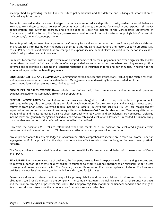accomplished by providing for liabilities for future policy benefits and the deferral and subsequent amortization of deferred acquisition costs.

Amounts received under universal life-type contracts are reported as deposits to policyholders' account balances. Revenues from these contracts consist of amounts assessed during the period for mortality and expense risk, policy administration, and surrender charges, and are included as Policy fee income in the Consolidated Statements of Operations. In addition to fees, the Company earns investment income from the investment of policyholders' deposits in the Company's general account portfolio.

Amounts previously assessed to compensate the Company for services to be performed over future periods are deferred and recognized into income over the period benefited, using the same assumptions and factors used to amortize DAC costs. Policy benefits and claims that are charged to expense include benefit claims incurred in the period in excess of related policyholders' account balances.

Premiums for contracts with a single premium or a limited number of premium payments due over a significantly shorter period than the total period over which benefits are provided are recorded as income when due. Any excess profit is deferred and recognized as income in a constant relationship to insurance in-force and, for annuities, in relation to the amount of expected future benefit payments.

**BROKER/DEALER FEES AND COMMISSIONS** Commissions earned on securities transactions, including the related revenue and expenses, are recorded on a trade date basis. Management and underwriting fees are recorded as of the commitment date. Other revenue is recorded as earned.

**BROKER/DEALER SALES EXPENSE** These include commissions paid, other compensation and other general operating expenses related to the Company's Broker/Dealer operations.

**FEDERAL INCOME TAXES** Current federal income taxes are charged or credited to operations based upon amounts estimated to be payable or recoverable as a result of taxable operations for the current year and any adjustments to such estimates from prior years. Deferred federal income tax assets ("DTAs") and liabilities ("DTLs") are recognized for expected future tax consequences of temporary differences between GAAP and taxable income. Temporary differences are identified and measured using a balance sheet approach whereby GAAP and tax balances are compared. Deferred income taxes are generally recognized based on enacted tax rates and a valuation allowance is recorded if it is more likely than not that any portion of the deferred tax asset will not be realized.

Uncertain tax positions ("UTP") are established when the merits of a tax position are evaluated against certain measurement and recognition tests. UTP changes are reflected as a component of income taxes.

Any disproportionate tax effects lodged in accumulated other comprehensive income are cleared to income under an aggregate portfolio approach, i.e. the disproportionate tax effect remains intact as long as the investment portfolio remains.

The Company files a consolidated federal income tax return with its life insurance subsidiaries, with the exclusion of Vantis and PIANY.

**REINSURANCE** In the normal course of business, the Company seeks to limit its exposure to loss on any single insured and to recover a portion of benefits paid by ceding reinsurance to other insurance enterprises or reinsurers under excess coverage and coinsurance contracts. The Company has set its retention limit for acceptance of risk on life insurance policies at various levels up to \$7,500 for single life and \$10,000 for joint lives.

Reinsurance does not relieve the Company of its primary liability and, as such, failure of reinsurers to honor their obligations could result in losses to the Company. The Company evaluates the risk transfer of its reinsurance contracts and the financial strength of potential reinsurers. The Company regularly monitors the financial condition and ratings of its existing reinsurers to ensure that amounts due from reinsurers are collectible.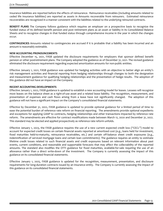Insurance liabilities are reported before the effects of reinsurance. Reinsurance receivables (including amounts related to ceded life insurance liabilities) are reported as assets in Amounts recoverable from reinsurers. Estimated reinsurance recoverables are recognized in a manner consistent with the liabilities related to the underlying reinsured contracts.

**BENEFIT PLANS** The Company follows guidance which requires an employer on a prospective basis to recognize the funded status of its defined benefit pension and post retirement plans as an asset or liability in its Consolidated Balance Sheets and to recognize changes in that funded status through comprehensive income in the year in which the changes occur.

**CONTINGENCIES** Amounts related to contingencies are accrued if it is probable that a liability has been incurred and an amount is reasonably estimable.

#### **NEW ACCOUNTING PRONOUNCEMENTS**

Effective December 15, 2021, FASB updated the disclosure requirements for employers that sponsor defined benefit pension or other postretirement plans. The Company adopted the guidance as of December 31, 2021. The revised guidance eliminated the disclosure requirement regarding expected amortization amounts for non-public entities.

Effective January 1, 2021, FASB guidance was updated for hedging activities with an objective to better align an entity's risk management activities and financial reporting from hedging relationships through changes to both the designation and measurement guidance for qualifying hedging relationships and the presentation of hedge results. The adoption of this guidance did not have an impact on the Company.

#### **RECENT ACCOUNTING DEVELOPMENTS**

Effective January 1, 2022, FASB guidance is updated to establish a new accounting model for leases. Lessees will recognize most leases on the balance sheet as a right-of-use asset and a related lease liability. The recognition, measurement, and presentation of expenses and cash flows arising from a lease have not significantly changed. The adoption of this guidance will not have a significant impact on the Company's consolidated financial statements.

Effective by December 31, 2022, FASB guidance is updated to provide optional guidance for a limited period of time to ease the potential burden of reference rate reform on financial reporting. The amendments provide optional expedients and exceptions for applying GAAP to contracts, hedging relationships and other transactions impacted by reference rate reform. The amendments are effective for contract modifications made between March 12, 2020 and December 31, 2022. This standard may be elected and applied prospectively as reference rate reform unfolds.

Effective January 1, 2023, the FASB guidance requires the use of a new current expected credit loss ("CECL") model to account for expected credit losses on certain financial assets reported at amortized cost (e.g., loans held for investment, fixed maturities held-to-maturity, reinsurance receivables, etc.) and certain off-balance sheet credit exposures (e.g., indemnification of serviced mortgage loans and certain loan commitments). The guidance requires an entity to estimate lifetime credit losses related to such financial assets and credit exposures based on relevant information about past events, current conditions, and reasonable and supportable forecasts that may affect the collectability of the reported amounts. The standard also modifies the OTTI guidance for fixed maturities, available-for-sale requiring the use of an allowance rather than a direct write-down of the investment. The Company is currently assessing the impact of this guidance on its consolidated financial statements.

Effective January 1, 2025, FASB guidance is updated for the recognition, measurement, presentation, and disclosure requirements for long-duration contracts issued by an insurance entity. The Company is currently assessing the impact of this guidance on its consolidated financial statements.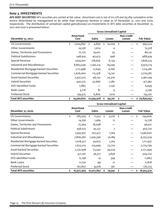# *Note 3.* **INVESTMENTS**

**AFS DEBT SECURITIES** AFS securities are carried at fair value. Amortized cost is net of \$11,178 and \$9,289 cumulative writedowns determined by management to be other than temporary declines in value as of December 31, 2021 and 2020, respectively. The distribution of unrealized capital gains/(losses) on investments in AFS debt securities at December 31, 2021 and 2020 is presented below.

|                                        |                   | <b>Gross Unrealized Capital</b> |    |        |    |                      |    |                   |
|----------------------------------------|-------------------|---------------------------------|----|--------|----|----------------------|----|-------------------|
| December 31, 2021:                     | Amortized<br>Cost | Gains                           |    | Losses |    | Non-credit<br>Losses |    | <b>Fair Value</b> |
| US Governments                         | \$<br>1,004,897   | \$<br>4,836                     | \$ | 14,209 | \$ |                      | \$ | 995,524           |
| <b>Other Governments</b>               | 14,258            | 1,074                           |    | 4      |    |                      |    | 15,328            |
| States, Territories and Possessions    | 72,175            | 14,001                          |    | 35     |    |                      |    | 86,141            |
| <b>Political Subdivisions</b>          | 448,914           | 40,473                          |    | 948    |    |                      |    | 488,439           |
| Special Revenue                        | 1,634,001         | 178,656                         |    | 6,134  |    |                      |    | 1,806,523         |
| Industrial and Miscellaneous           | 8,863,549         | 1,140,214                       |    | 29,549 |    |                      |    | 9,974,214         |
| Residential Mortgage-backed Securities | 1,117,998         | 12,649                          |    | 6,166  |    |                      |    | 1,124,481         |
| Commercial Mortgage-backed Securities  | 2,676,000         | 115,328                         |    | 14,741 |    |                      |    | 2,776,587         |
| <b>Asset-backed Securities</b>         | 2,937,375         | 48,150                          |    | 24,376 |    |                      |    | 2,961,149         |
| <b>Hybrid Securities</b>               | 440,575           | 32,666                          |    | 1,280  |    |                      |    | 471,961           |
| SVO Identified Funds                   | 7,885             |                                 |    | 1,236  |    |                      |    | 6,649             |
| <b>Bank Loans</b>                      | 3,718             | 81                              |    | 9      |    |                      |    | 3,790             |
| Preferred Stock                        | 139,475           | 6,800                           |    | 1,014  |    |                      |    | 145,261           |
| <b>Total AFS securities</b>            | \$<br>19,360,820  | \$1,594,928                     | \$ | 99,701 |    |                      |    | \$20,856,047      |

|                                        |                   | <b>Gross Unrealized Capital</b> |    |        |      |                      |    |                   |
|----------------------------------------|-------------------|---------------------------------|----|--------|------|----------------------|----|-------------------|
| December 31, 2020:                     | Amortized<br>Cost | Gains                           |    | Losses |      | Non-credit<br>Losses |    | <b>Fair Value</b> |
| <b>US Governments</b>                  | \$<br>785,509     | \$<br>11,323                    | \$ | 3,226  | - \$ |                      | \$ | 793,606           |
| <b>Other Governments</b>               | 14,256            | 1,484                           |    | 12     |      |                      |    | 15,728            |
| States, Territories and Possessions    | 72,364            | 18,048                          |    |        |      |                      |    | 90,412            |
| <b>Political Subdivisions</b>          | 358,025           | 45,152                          |    | 7      |      |                      |    | 403,170           |
| Special Revenue                        | 1,340,937         | 207,427                         |    | 1,764  |      |                      |    | 1,546,600         |
| Industrial and Miscellaneous           | 7,806,382         | 1,456,336                       |    | 10,189 |      |                      |    | 9,252,529         |
| Residential Mortgage-backed Securities | 1,078,527         | 34,625                          |    | 1,705  |      |                      |    | 1,111,447         |
| Commercial Mortgage-backed Securities  | 2,625,015         | 124,499                         |    | 23,720 |      |                      |    | 2,725,794         |
| <b>Asset-backed Securities</b>         | 2,232,938         | 73,540                          |    | 34,529 |      |                      |    | 2,271,949         |
| <b>Hybrid Securities</b>               | 471,761           | 36,317                          |    | 3,858  |      |                      |    | 504,220           |
| SVO Identified Funds                   | 12,198            | 14                              |    | 349    |      |                      |    | 11,863            |
| <b>Bank Loans</b>                      | 11,750            | 99                              |    | 21     |      |                      |    | 11,828            |
| Preferred Stock                        | 167,807           | 9,028                           |    | 561    |      |                      |    | 176,274           |
| <b>Total AFS securities</b>            | \$<br>16,977,469  | \$2,017,892                     | \$ | 79,941 | \$   |                      | \$ | 18,915,420        |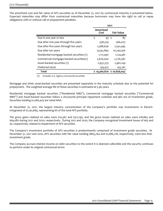The amortized cost and fair value of AFS securities as of December 31, 2021 by contractual maturity is presented below. Expected maturities may differ from contractual maturities because borrowers may have the right to call or repay obligations with or without call or prepayment penalties.

|                                            |                   | 2021              |
|--------------------------------------------|-------------------|-------------------|
|                                            | Amortized<br>Cost | <b>Fair Value</b> |
| Due in one year or less                    | \$<br>$93$ \$     | 83                |
| Due after one year through five years      | 558,329           | 566,075           |
| Due after five years through ten years     | 2,388,656         | 2,541,495         |
| Due after ten years                        | 9,542,895         | 10,740,916        |
| Residential mortgage backed securities (1) | 1,117,997         | 1,124,481         |
| Commercial mortgage backed securities(1)   | 2,676,000         | 2,776,587         |
| Asset-backed securities (1)                | 2,937,375         | 2,961,149         |
| Preferred stock                            | 139,475           | 145,261           |
| Total                                      | \$19,360,820      | \$20,856,047      |

(1) Includes U.S. Agency structured securities

Mortgage and other asset-backed securities are presented separately in the maturity schedule due to the potential for prepayment. The weighted average life of these securities is estimated at 5.96 years.

Residential mortgage backed securities ("Residential MBS"), Commercial mortgage backed securities ("Commercial MBS") and Asset-backed securities follow a structured principal repayment schedule and 96% are of investment grade. Securities totaling \$1,066,403 are rated AAA.

At December 31, 2021, the largest industry concentration of the Company's portfolio was investments in Electric-Integrated of \$1,191,684, representing 6% of the total AFS portfolio.

The gross gains realized on sales were \$10,367 and \$317,195, and the gross losses realized on sales were \$18,865 and \$69,082 during 2021 and 2020, respectively. During 2021 and 2020, the Company recognized investment losses of \$65 and \$0, respectively, related to impairment of AFS securities.

The Company's investment portfolio of AFS securities is predominantly comprised of investment grade securities. At December 31, 2021 and 2020, AFS securities with fair value totaling \$865,764 and \$1,086,218, respectively, were less than investment grade.

The Company accrues interest income on debt securities to the extent it is deemed collectible and the security continues to perform under its original contractual terms.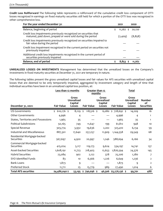**Credit Loss Rollforward** The following table represents a rollforward of the cumulative credit loss component of OTTI losses recognized in earnings on fixed maturity securities still held for which a portion of the OTTI loss was recognized in other comprehensive loss.

| For the year ended December 31:                                                                                                | 2021          | 2020    |
|--------------------------------------------------------------------------------------------------------------------------------|---------------|---------|
| Balance, beginning of period                                                                                                   | $11,262 \div$ | 20,120  |
| Credit loss impairments previously recognized on securities that<br>matured, paid down, prepaid or were sold during the period | (2, 409)      | (8,858) |
| Credit loss impairments previously recognized on securities impaired to<br>fair value during the period                        |               |         |
| Credit loss impairment recognized in the current period on securities not<br>previously impaired                               |               |         |
| Additional credit loss impairments recognized in the current period of<br>securities previously impaired                       |               |         |
| Balance, end of period                                                                                                         |               | 11.262  |

**UNREALIZED LOSSES ON INVESTMENTS** Management has determined that the unrealized losses on the Company's investments in fixed maturity securities at December 31, 2021 are temporary in nature.

The following tables present the gross unrealized capital losses and fair values for AFS securities with unrealized capital losses that are deemed to be only temporarily impaired, aggregated by investment category and length of time that individual securities have been in an unrealized capital loss position, at:

|                                           |                    | <b>Less than 12 months</b>                             |                   | Greater than 12<br>months                              |                           | <b>Total</b>                                    |                                                 |
|-------------------------------------------|--------------------|--------------------------------------------------------|-------------------|--------------------------------------------------------|---------------------------|-------------------------------------------------|-------------------------------------------------|
| December 31, 2021:                        | <b>Fair Value</b>  | Gross<br><b>Unrealized</b><br>Capital<br><b>Losses</b> | <b>Fair Value</b> | Gross<br><b>Unrealized</b><br>Capital<br><b>Losses</b> | <b>Fair Value</b>         | Gross<br><b>Unrealized</b><br>Capital<br>Losses | <b>Number</b><br><b>of</b><br><b>Securities</b> |
| <b>US Governments</b>                     | $610,176$ \$<br>Ś. | $8,129$ \$                                             | $118,516$ \$      |                                                        | $6,080 \div 728,692 \div$ | 14,209                                          | 16                                              |
| <b>Other Governments</b>                  | 4,996              | 4                                                      |                   |                                                        | 4,996                     | 4                                               | 1                                               |
| States, Territories and Possessions       | 1,965              | 35                                                     |                   |                                                        | 1,965                     | 35                                              | $\mathbf{1}$                                    |
| <b>Political Subdivisions</b>             | 50,165             | 749                                                    | 11,647            | 199                                                    | 61,812                    | 948                                             | 10                                              |
| Special Revenue                           | 303,774            | 3,932                                                  | 19,636            | 2,202                                                  | 323,410                   | 6,134                                           | 59                                              |
| <b>Industrial and Miscellaneous</b>       | 887,301            | 17,640                                                 | 257,257           | 11,909                                                 | 1,144,558                 | 29,549                                          | 68                                              |
| Residential Mortgage-backed<br>Securities | 567,697            | 4,920                                                  | 20,997            | 1,246                                                  | 588,694                   | 6,166                                           | 34                                              |
| Commercial Mortgage-backed<br>Securities  | 415,024            | 5,117                                                  | 119,173           | 9,624                                                  | 534,197                   | 14,741                                          | 137                                             |
| Asset-backed Securities                   | 1,608,191          | 11,723                                                 | 218,403           | 12,653                                                 | 1,826,594                 | 24,376                                          | 145                                             |
| <b>Hybrid Securities</b>                  | 23,084             | 902                                                    | 2,122             | 378                                                    | 25,206                    | 1,280                                           | 7                                               |
| SVO Identified Funds                      | 83                 | 10                                                     | 6,566             | 1,226                                                  | 6,649                     | 1,236                                           | $\overline{2}$                                  |
| <b>Bank Loans</b>                         | 1,873              | 9                                                      |                   |                                                        | 1,873                     | 9                                               | $\overline{2}$                                  |
| Preferred Stock                           | 11,711             | 25                                                     | 15,779            | 989                                                    | 27,490                    | 1,014                                           | 6                                               |
| <b>Total AFS securities</b>               | \$4,486,040 \$     |                                                        | 53,195 \$ 790,096 | \$                                                     | 46,506 \$5,276,136 \$     | 99,701                                          | 488                                             |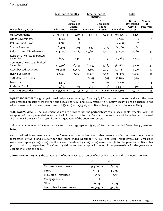|                                                 |                   | Less than 12 months                             |                   | Greater than 12<br>months                       |                   |                                                 |                                          |
|-------------------------------------------------|-------------------|-------------------------------------------------|-------------------|-------------------------------------------------|-------------------|-------------------------------------------------|------------------------------------------|
| December 31, 2020:                              | <b>Fair Value</b> | Gross<br><b>Unrealized</b><br>Capital<br>Losses | <b>Fair Value</b> | Gross<br><b>Unrealized</b><br>Capital<br>Losses | <b>Fair Value</b> | Gross<br><b>Unrealized</b><br>Capital<br>Losses | <b>Number</b><br>of<br><b>Securities</b> |
| <b>US Governments</b>                           | \$<br>99,545 \$   | $2,141$ \$                                      | 1,931 \$          | $1,085$ \$                                      | 101,476 \$        | 3,226                                           | 9                                        |
| <b>Other Governments</b>                        | 4,988             | 12                                              |                   |                                                 | 4,988             | 12                                              | 1                                        |
| <b>Political Subdivisions</b>                   | 4,088             | $\overline{7}$                                  |                   |                                                 | 4,088             | 7                                               | 1                                        |
| Special Revenue                                 | 61,395            | 705                                             | 3,371             | 1,059                                           | 64,766            | 1,764                                           | $\overline{2}$                           |
| <b>Industrial and Miscellaneous</b>             | 194,089           | 5,187                                           | 49,809            | 5,002                                           | 243,898           | 10,189                                          | 43                                       |
| Residential Mortgage-backed<br>Securities       | 61,271            | 1,412                                           | 4,012             | 293                                             | 65,283            | 1,705                                           | 5                                        |
| Commercial Mortgage-backed<br><b>Securities</b> | 519,308           | 18,033                                          | 62,557            | 5,687                                           | 581,865           | 23,720                                          | 132                                      |
| Asset-backed Securities                         | 493,628           | 27,470                                          | 378,860           | 7,059                                           | 872,488           | 34,529                                          | 132                                      |
| <b>Hybrid Securities</b>                        | 63,086            | 1,865                                           | 27,853            | 1,993                                           | 90,939            | 3,858                                           | 14                                       |
| SVO Identified Funds                            |                   |                                                 | 10,849            | 349                                             | 10,849            | 349                                             | 1                                        |
| <b>Bank Loans</b>                               | 5,529             | 21                                              |                   |                                                 | 5,529             | 21                                              | 3                                        |
| Preferred Stock                                 | 29,897            | 403                                             | 4,630             | 158                                             | 34,527            | 561                                             | 3                                        |
| <b>Total AFS securities</b>                     | $$1,536,824$ \$   | 57,256                                          | 543,872 \$<br>\$  | 22,685                                          | \$2,080,696\$     | 79,941                                          | 346                                      |

**EQUITY SECURITIES** The gross gains realized on sales were \$3,438 and \$4,678 for 2021 and 2020, respectively. The gross losses realized on sales were \$10,909 and \$22,768 for 2021 and 2020, respectively. Equity securities had a change in fair value recognized in net investment losses of \$(1,740) and \$(7,992) as of December 31, 2021 and 2020, respectively.

**ALTERNATIVE ASSETS** The investment values are provided per the partnerships' capital account statements. With the exception of one open-ended investment within the portfolio, the Company's interest cannot be redeemed. Instead, distributions from each fund result from the liquidation of the underlying assets.

Unfunded commitments for Alternative Assets were \$555,939 and \$574,258 for the years ended December 31, 2021 and 2020.

Net unrealized investment capital gains/(losses) on alternative assets that were classified as investment income aggregated \$376,810 and \$64,667 for the years ended December 31, 2021 and 2020, respectively. Net unrealized investment capital gains/(losses) classified as net investment gains/(losses) were \$0 and \$0 for the years ended December 31, 2021 and 2020, respectively. The Company did not recognize capital losses on closed partnerships for the years ended December 31, 2021 and 2020.

**OTHER INVESTED ASSETS** The components of other invested assets as of December 31, 2021 and 2020 were as follows:

|                                    | 2021               | 2020    |
|------------------------------------|--------------------|---------|
| Short-term investments             | 553,004 \$         | 485,275 |
| <b>LIHTC</b>                       | 41,335             | 33,390  |
| FHLB stock (restricted)            | 5,977              | 3,371   |
| Mortgage loans                     | $\mathcal{P}$      | 6       |
| Other                              | 10,175             | 14,723  |
| <b>Total other invested assets</b> | \$<br>$610,493$ \$ | 536,765 |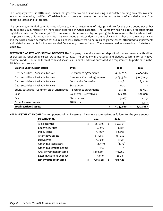The Company invests in LIHTC investments that generate tax credits for investing in affordable housing projects. Investors in entities operating qualified affordable housing projects receive tax benefits in the form of tax deductions from operating losses and tax credits.

The remaining unfunded commitments relating to LIHTC investments of \$18,046 and \$40 for the years ended December 31, 2021 and 2020, respectively, have been recorded in Other liabilities. The Company has no LIHTC properties under regulatory review at December 31, 2021. Impairment is determined by comparing the book value of the investment with the present value of future tax benefits. The investment is written down if the book value is higher than the present value and the write-down is accounted for as a realized loss. There were no net realized gains/(losses) attributed to impairments and related adjustments for the years ended December 31, 2021 and 2020. There were no write-downs due to forfeiture of eligibility.

**RESTRICTED ASSETS AND SPECIAL DEPOSITS** The Company maintains assets on deposit with governmental authorities or trustees as required by certain state insurance laws. The Company also receives and pledges collateral for derivative contracts and FHLB in the form of cash and securities. Capital stock was purchased as a requirement to participate in the FHLB lending program.

| <b>Balance Sheet Classification</b>                                  | <b>Type</b>                  | 2021      | 2020      |
|----------------------------------------------------------------------|------------------------------|-----------|-----------|
| Debt securities – Available for sale                                 | Reinsurance agreements       | 4,691,763 | 4,454,349 |
| Debt securities – Available for sale                                 | New York 109 trust agreement | 3,851,580 | 3,687,943 |
| Debt securities – Available for sale                                 | Collateral - Derivatives     | 310,831   | 287,408   |
| Debt securities - Available for sale                                 | State deposit                | 10,703    | 11,141    |
| Equity securities – Common stock unaffiliated Reinsurance agreements |                              | 27,786    | 36,904    |
| Cash                                                                 | Collateral - Derivatives     | 343,018   | 236,858   |
| Cash                                                                 | State deposit                | 5,977     | 4,113     |
| Other invested assets                                                | FHLB stock                   | 5,422     | 3,371     |
| <b>Total restricted assets</b>                                       |                              | 9,247,080 | 8,722,087 |

**NET INVESTMENT INCOME** The components of net investment income are summarized as follows for the years ended:

| December 31,             | 2021            | 2020          |
|--------------------------|-----------------|---------------|
| AFS securities           | 761,296<br>\$   | \$<br>750,455 |
| Equity securities        | 4,933           | 8,009         |
| Policy loans             | 51,007          | 49,696        |
| Alternative assets       | 619,158         | 161,252       |
| Derivatives              | 14,350          | 11,519        |
| Other invested assets    | (1, 337)        | (2,172)       |
| Other investment income  | 194             |               |
| Gross investment income  | 1,449,601       | 978,760       |
| Less: Investment expense | 31,090          | 28,233        |
| Net investment income    | \$<br>1,418,511 | \$<br>950,527 |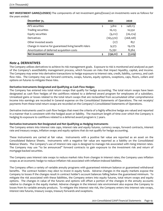**NET INVESTMENT GAINS/(LOSSES)** The components of net investment gains/(losses) on investments were as follows for the years ended:

| December 31,                                           |    | 2021       |     | 2020       |
|--------------------------------------------------------|----|------------|-----|------------|
| AFS securities                                         | \$ | 3,810      |     | 248,113    |
| Trading securities                                     |    | 16,123     |     | 10,550     |
| Equity securities                                      |    | (9,212)    |     | (26, 274)  |
| Derivatives                                            |    | (165, 570) |     | (268, 108) |
| Other invested assets                                  |    | (27)       |     | 857        |
| Change in reserve for guaranteed living benefit riders |    | 9,373      |     | 19,279     |
| Amortization of deferred acquisition costs             |    | 15,392     |     | 8,364      |
| Net investment losses                                  | Ś  | (130, 111) | \$. | (7,219)    |

## *Note 4.* **DERIVATIVES**

The Company utilizes derivatives to achieve its risk management goals. Exposure to risk is monitored and analyzed as part of the Company's asset/liability management process, which focuses on risks that impact liquidity, capital, and income. The Company may enter into derivative transactions to hedge exposure to interest rate, credit, liability, currency, and cash flow risks. The Company may use forward contracts, swaps, futures, equity options, swaptions, caps, floors, collars and options on futures to mitigate these risks.

#### **Derivative Instruments Designated and Qualifying as Cash Flow Hedges**

The Company has entered into total return swaps that qualify for hedge accounting. The total return swaps have been designated as cash flow hedges of the cashflows related to a deferred award program for employees of a subsidiary. Unrealized gains or losses related to the total return swaps that are reclassified from accumulated other comprehensive income into earnings are recorded in General expense on the Consolidated Statements of Operations. The net receipts/ payments from these total return swaps are recorded on the Company's Consolidated Statements of Operations.

Derivative instruments used in cash flow hedges that meet the criteria of a highly effective hedge are valued and reported in a manner that is consistent with the hedged asset or liability. The maximum length of time over which the Company is hedging its exposure to cashflows related to a deferred award program is 7 years.

#### **Derivative Instruments Not Designated and Not Qualifying as Hedging Instruments**

The Company enters into interest rate caps, interest rate and equity futures, currency swaps, forward contracts, interest rate and treasury swaps, inflation swaps and equity options that do not qualify for hedge accounting.

These instruments are carried at fair value. Instruments with a positive fair value are reported as an asset on the Consolidated Balance Sheets. Instruments with a negative fair value are reported as a liability on the Consolidated Balance Sheets. The Company's use of interest rate caps is designed to manage risk associated with rising interest rates. The Company may use "to be announced" forward contracts to gain exposure to the investment risk and return of mortgage-backed securities.

The Company uses interest rate swaps to reduce market risks from changes in interest rates; the Company uses inflation swaps as an economic hedge to reduce inflation risk associated with inflation-indexed liabilities.

The Company offers a variety of variable annuity programs with guaranteed minimum balance or guaranteed withdrawal benefits. The contract holders may elect to invest in equity funds. Adverse changes in the equity markets expose the Company to losses if the changes result in contract holder's account balances falling below the guaranteed minimum. To mitigate the risk associated with these liabilities, the Company enters into equity futures, total return swaps and equity options. The changes in value of the futures and options will offset a portion of the changes in the annuity accounts relative to changes in the equity market. Adverse changes in the interest rate environment also expose the Company to losses from its variable annuity products. To mitigate this interest rate risk, the Company enters into interest rate swaps, interest rate futures, treasury swaps, treasury forwards and swaptions.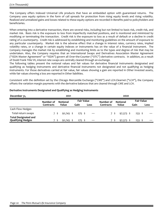The Company offers Indexed Universal Life products that have an embedded option with guaranteed returns. The Company uses equity options in the form of call spreads for protection from rising equity levels and rising volatility. Realized and unrealized gains and losses related to these equity options are recorded in Benefits paid to policyholders and beneficiaries.

When entering into a derivative transaction, there are several risks, including but not limited to basis risk, credit risk, and market risk. Basis risk is the exposure to loss from imperfectly matched positions, and is monitored and minimized by modifying or terminating the transaction. Credit risk is the exposure to loss as a result of default or a decline in credit rating of a counterparty. Credit risk is addressed by establishing and monitoring guidelines on the amount of exposure to any particular counterparty. Market risk is the adverse effect that a change in interest rates, currency rates, implied volatility rates, or a change in certain equity indexes or instruments has on the value of a financial instrument. The Company manages the market risk by establishing and monitoring limits as to the types and degree of risk that may be undertaken. Also, the Company requires that an International Swaps and Derivatives Association Master Agreement ("ISDA Master Agreement" or "ISDA") govern all Over-the-Counter ("OTC") derivative contracts. In addition, as a result of Dodd Frank Title VII, interest rate swaps are centrally cleared through an exchange.

The following tables present the notional values and fair values for derivative financial instruments designated and qualifying as hedging instruments and derivative financial instruments not designated and not qualifying as hedging instruments. For those derivatives carried at fair value, fair values showing a gain are reported in Other invested assets, while fair values showing a loss are reported in Other liabilities.

Consistent with the definition set by the Chicago Mercantile Exchange ("CME") and LCH.Clearnet ("LCH"), the Company offsets the variation margin payments with the derivative balances that are cleared through CME and LCH.

| December 31,                                            |           | 2021            |                    |                   | 2020      |                 |             |                   |
|---------------------------------------------------------|-----------|-----------------|--------------------|-------------------|-----------|-----------------|-------------|-------------------|
|                                                         | Number of | <b>Notional</b> |                    | <b>Fair Value</b> | Number of | <b>Notional</b> |             | <b>Fair Value</b> |
|                                                         | Contracts | Value           | Gain               | Loss              | Contracts | Value           | Gain        | Loss              |
| Cash Flow Hedges                                        |           |                 |                    |                   |           |                 |             |                   |
| Total return swaps                                      | 75        |                 | $92,745$ \$ 275 \$ |                   | 75        | $97,373$ \$     | $233 \;$ \$ |                   |
| <b>Total Designated and</b><br><b>Qualifying Hedges</b> |           | $92,745$ \$     | $275$ \$           |                   |           | 97,373 \$       | $233$ \$    |                   |

#### **Derivative Instruments Designated and Qualifying as Hedging Instruments**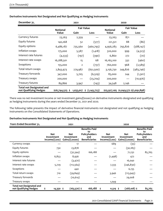| December 31,                                             |                 | 2021           |                   |                 | 2020              |                                        |  |
|----------------------------------------------------------|-----------------|----------------|-------------------|-----------------|-------------------|----------------------------------------|--|
|                                                          | <b>Notional</b> |                | <b>Fair Value</b> | <b>Notional</b> | <b>Fair Value</b> |                                        |  |
|                                                          | Value           | Gain           | Loss              | Value           | Gain              | Loss                                   |  |
| Currency futures                                         | 23,263          | 2,359          |                   | 23,263          | 871               |                                        |  |
| <b>Equity futures</b>                                    | 140,268         | 52             | (577)             | 221,321         | 88                | (86)                                   |  |
| Equity options                                           | 6,486,187       | 735,560        | (460,793)         | 4,956,283       | 793,826           | (588, 147)                             |  |
| Inflation swaps                                          | 175,000         | 5,587          | (1, 418)          | 320,000         | 999               | (4,523)                                |  |
| Interest rate futures                                    | (4, 533)        | (197)          | (390)             | 6,860           | 272               | (70)                                   |  |
| Interest rate swaps                                      | 16,288,501      | 15             | 68                | 16, 165, 100    | 332               | (460)                                  |  |
| Swaptions                                                | 155,000         | $\overline{2}$ | (737)             | 760,000         | 968               | (2,589)                                |  |
| Total return swaps                                       | 2,843,973       | 279,987        | (651,500)         | 3,156,730       | 249,826           | (483,746)                              |  |
| Treasury forwards                                        | 347,000         | 5,705          | (6, 529)          | 83,000          | 244               | (1,301)                                |  |
| Treasury swaps                                           | 200,000         |                | (23,704)          | 200,000         |                   | (10, 976)                              |  |
| Treasury futures                                         | 89,866          | 3,947          | (143)             | 34,548          | 2,146             |                                        |  |
| <b>Total not Designated and</b><br>not Qualifying Hedges | \$26,744,525 \$ | 1,033,017      | \$ (1,145,723)    |                 |                   | \$25,927,105 \$1,049,572 \$(1,091,898) |  |

#### **Derivative Instruments Not Designated and Not Qualifying as Hedging Instruments**

There was no net investment income or net investment gains/(losses) on derivative instruments designated and qualifying as hedging instruments during the years ended December 31, 2021 and 2020.

The following table presents the impact of derivative financial instruments not designated and not qualifying as hedging instruments on the Consolidated Statements of Operations.

#### **Derivative Instruments Not Designated and Not Qualifying as Hedging Instruments**

| Years Ended December 31,                                 |                                           | 2021                                       |                                                                                   |                                           | 2020                                       |                                                                                   |
|----------------------------------------------------------|-------------------------------------------|--------------------------------------------|-----------------------------------------------------------------------------------|-------------------------------------------|--------------------------------------------|-----------------------------------------------------------------------------------|
|                                                          | <b>Net</b><br>Investment<br>Income/(Loss) | <b>Net</b><br>Investment<br>Gains/(Losses) | <b>Benefits Paid</b><br>to<br><b>Policyholders</b><br>and<br><b>Beneficiaries</b> | <b>Net</b><br>Investment<br>Income/(Loss) | <b>Net</b><br>Investment<br>Gains/(Losses) | <b>Benefits Paid</b><br>to<br><b>Policyholders</b><br>and<br><b>Beneficiaries</b> |
| Currency swaps                                           |                                           | 17                                         |                                                                                   | 689                                       | (35)                                       |                                                                                   |
| <b>Equity futures</b>                                    | 730                                       | 23,878                                     |                                                                                   |                                           | (30, 185)                                  |                                                                                   |
| Equity options                                           |                                           | (32, 344)                                  | 166,188                                                                           |                                           | 71,232                                     | 85,765                                                                            |
| Inflation swaps                                          | 6,853                                     | 8,936                                      |                                                                                   | (1, 498)                                  | 472                                        |                                                                                   |
| Interest rate futures                                    |                                           | (3, 470)                                   |                                                                                   |                                           | 16,040                                     |                                                                                   |
| Interest rate swaps                                      | 5,729                                     | (112, 564)                                 |                                                                                   | 7,333                                     | (246, 830)                                 |                                                                                   |
| Swaptions                                                |                                           | 440                                        |                                                                                   |                                           | 6,135                                      |                                                                                   |
| Total return swaps                                       | 710                                       | (39, 849)                                  |                                                                                   | 3,946                                     | (113, 945)                                 |                                                                                   |
| Treasury forwards                                        |                                           | (10, 614)                                  |                                                                                   |                                           | 29,008                                     |                                                                                   |
| Treasury swaps                                           |                                           |                                            |                                                                                   | 1,049                                     |                                            |                                                                                   |
| <b>Total not Designated and</b><br>not Qualifying Hedges | 14,350 \$<br>Ş                            | $(165,570)$ \$                             | 166,188                                                                           | \$<br>11,519 \$                           | $(268, 108)$ \$                            | 85,765                                                                            |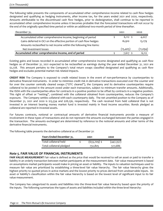The following table presents the components of accumulated other comprehensive income related to cash flow hedges designated and qualifying as hedging instruments, after income tax, for the years ended 2021 and 2020, respectively. Amounts attributable to the discontinued cash flow hedges, prior to dedesignation, shall continue to be reported in accumulated other comprehensive income unless it becomes probable that the forecasted transactions will not occur by the end of the originally specified time period or within an additional two-month period of time thereafter.

| December 31,                                                        | 2021       | 2020      |
|---------------------------------------------------------------------|------------|-----------|
| Accumulated other comprehensive income, beginning of period         | $6,112$ \$ | 4,027     |
| Gains deferred in OCI on the effective portion of cash flow hedges  | 16,910     | 13,179    |
| Amounts reclassified to net income within the following line items: |            |           |
| Net investment losses                                               | (15,405)   | (11, 094) |
| Accumulated other comprehensive income, end of period               | 7,617      | 6,112     |

Existing gains and losses recorded in accumulated other comprehensive income designated and qualifying as cash flow hedges as of December 31, 2021 expected to be reclassified as earnings during the year ended December 31, 2021 are \$2,728. This amount pertains to the Company's total return swaps classified designated and qualifying as cash flow hedges and excludes potential market risk related impacts.

**CREDIT RISK** The Company is exposed to credit related losses in the event of non-performance by counterparties to derivative financial instruments. In order to minimize credit risk in derivative transactions executed over the counter and for over the counter centrally cleared swaps ("OTC cleared"), the Company and its derivative counterparties require collateral to be posted in the amount owed under each transaction, subject to minimum transfer amounts. Additionally, the ISDA with the counterparties allow for contracts in a positive position to be offset by contracts in a negative position. This right of offset or "netting", combined with the collateral obtained from counterparties, reduces the Company's exposure. The Company settles collateral with each counterparty daily. The net unsettled position to the Company as of December 31, 2021 and 2020 is \$13,334 and \$28,236, respectively. The cash received from held collateral that is not invested in an interest bearing money market fund is invested mainly in fixed income securities. Bonds pledged as collateral are reported in invested assets.

For futures contracts, notional or contractual amounts of derivative financial instruments provide a measure of involvement in these types of transactions and do not represent the amounts exchanged between the parties engaged in the transaction. The amounts exchanged are determined by reference to the notional amounts and other terms of the derivative financial instruments.

| Years Ended December 31, | 2021           | 2020      |
|--------------------------|----------------|-----------|
| Total collateral held    | $(633,709)$ \$ | (447,357) |
| Total collateral pledged | 732,805        | 517,686   |

The following table presents the derivative collateral as of December 31:

# *Note 5.* **FAIR VALUE OF FINANCIAL INSTRUMENTS**

**FAIR VALUE MEASUREMENT** Fair value is defined as the price that would be received to sell an asset or paid to transfer a liability in an orderly transaction between market participants at the measurement date. Fair value measurement is based on assumptions market participants would make in pricing an asset or liability. The inputs to valuation techniques used to measure fair value are prioritized by establishing a three-level fair value hierarchy. The fair value hierarchy gives the highest priority to quoted prices in active markets and the lowest priority to prices derived from unobservable inputs. An asset or liability's classification within the fair value hierarchy is based on the lowest level of significant input to its fair value measurement.

The Company has categorized its assets and liabilities into the three-level fair value hierarchy based upon the priority of the inputs. The following summarizes the types of assets and liabilities included within the three-level hierarchy: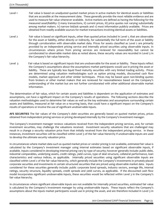```
($ in Thousands)
```
- Level 1 Fair value is based on unadjusted quoted market prices in active markets for identical assets or liabilities that are accessible at the measurement date. These generally provide the most reliable evidence and are used to measure fair value whenever available. Active markets are defined as having the following for the measured asset/liability: i) many transactions, ii) current prices, iii) price quotes not varying substantially among market makers. iv) narrow bid/ask spreads and v) most information publicly available. Prices are obtained from readily available sources for market transactions involving identical assets or liabilities.
- Level 2 Fair value is based on significant inputs, other than quoted prices included in Level 1, that are observable for the asset or liability, either directly or indirectly, for substantially the full term of the asset or liability through corroboration with observable market data. Prices for assets classified as Level 2 are primarily provided by an independent pricing service and internally priced securities using observable inputs. In circumstances where prices from pricing services are reviewed for reasonability but cannot be corroborated to observable market data as noted above, these security values are recorded in Level 3 in the Company's fair value hierarchy.
- Level 3 Fair value is based on significant inputs that are unobservable for the asset or liability. These inputs reflect the Company's assumptions about the assumptions market participants would use in pricing the asset or liability. These are typically less liquid fixed maturity securities with very limited trading activity. Prices are determined using valuation methodologies such as option pricing models, discounted cash flow models, market approach and other similar techniques. Prices may be based upon non-binding quotes from brokers or other market makers that are reviewed for reasonableness based on the Company's understanding of the market but are not further corroborated with other additional observable market information.

The determination of fair value, which for certain assets and liabilities is dependent on the application of estimates and assumptions, can have a significant impact on the Company's results of operations. The following sections describe the valuation methodologies used to determine fair values as well as the key estimates and assumptions surrounding certain assets and liabilities, measured at fair value on a recurring basis, that could have a significant impact on the Company's results of operations or involve the use of significant unobservable inputs.

**AFS SECURITIES** The fair values of the Company's debt securities are generally based on quoted market prices, prices obtained from independent pricing services or pricing developed internally by the Company's investment manager.

The Company's investment manager reviews valuations received from the independent pricing services, and, for certain investment securities, may challenge the valuations received. Investment security valuations that are challenged may result in a change a security valuation price from that initially received from the independent pricing service. In these instances, investment securities will be classified within Level 3 of the fair value hierarchy if unobservable inputs are used to develop the ultimate security valuation price.

In circumstances where market data such as quoted market prices or vendor pricing is not available, estimated fair value is calculated by the Company's investment manager using internal estimates based on significant observable inputs, if available. Inputs considered in developing internal pricing vary by type of security; however generally include: public debt, industrial comparables, underlying assets, credit ratings, yield curves, type of deal structure, collateral performance, loan characteristics and various indices, as applicable. Internally priced securities using significant observable inputs are classified within Level 2 of the fair value hierarchy, which generally include the Company's investments in privately-placed corporate securities and investments in certain structured securities that are priced using observable market data. Inputs considered for these securities generally include: public corporate bond spreads, industry sectors, average life, internal ratings, security structure, liquidity spreads, credit spreads and yield curves, as applicable. If the discounted cash flow model incorporates significant unobservable inputs, these securities would be reflected within Level 3 in the Company's fair value hierarchy.

In circumstances where significant observable inputs are not available for internally priced securities, estimated fair value is calculated by the Company's investment manager by using unobservable inputs. These inputs reflect the Company's assumptions about the inputs market participants would use in pricing the asset, and are therefore included in Level 3 in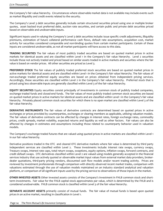the Company's fair value hierarchy. Circumstances where observable market data is not available may include events such as market illiquidity and credit events related to the security.

The Company's Level 3 debt securities generally include certain structured securities priced using one or multiple broker quotes, asset backed trust preferred debt, auction rate securities, and certain public and private debt securities priced based on observable and unobservable inputs.

Significant inputs used in valuing the Company's Level 3 debt securities include: issue specific credit adjustments, illiquidity premiums, estimation of future collateral performance cash flows, default rate assumptions, acquisition cost, market activity for securities considered comparable and non-binding quotes from certain market participants. Certain of these inputs are considered unobservable, as not all market participants will have access to this data.

**TRADING SECURITIES** The fair values of most publicly traded securities are based on quoted market prices in active markets for identical assets and are classified within Level 1 in the Company's fair value hierarchy. Level 2 securities include those not actively traded and priced based on similar assets traded in active markets and securities where the fair value is based on vendor prices. All other securities are priced as Level 3.

**PREFERRED STOCK** The fair values of publicly traded preferred stock securities are based on quoted market prices in active markets for identical assets and are classified within Level 1 in the Company's fair value hierarchy. The fair values of non-exchange traded preferred equity securities are based on prices obtained from independent pricing services. Accordingly, these securities are classified within Level 2 in the Company's fair value hierarchy. Preferred stock that is priced using less observable inputs are generally classified within Level 3 of the fair value hierarchy.

**EQUITY SECURITIES** Equity securities consist principally of investments in common stock of publicly traded companies, exchange traded funds and closed-end funds. The fair values of most publicly traded common stock securities are based on quoted market prices in active markets for identical assets and are classified within Level 1 in the Company's fair value hierarchy. Privately placed common stock securities for which there is no open market are classified within Level 3 of the fair value hierarchy.

**DERIVATIVE INSTRUMENTS** The fair values of derivative contracts are determined based on quoted prices in active exchanges or prices provided by counterparties, exchanges or clearing members as applicable, utilizing valuation models. The fair values of derivative contracts can be affected by changes in interest rates, foreign exchange rates, commodity prices, credit spreads, market volatility, expected returns and liquidity as well as other factors. Fair values can also be affected by changes in estimates and assumptions including those related to counterparty behavior used in valuation models.

The Company's exchange traded futures that are valued using quoted prices in active markets are classified within Level 1 in our fair value hierarchy.

Derivative positions traded in the OTC and cleared OTC derivative markets where fair value is determined by third party independent services are classified within Level 2. These investments include: interest rate swaps, currency swaps, Treasury swaps, interest rate caps, total return swaps, swaptions, equity options, inflation swaps, forward contracts, and credit default swaps. OTC derivatives classified within Level 2 are valued using models generally accepted in the financial services industry that use actively quoted or observable market input values from external market data providers, brokerdealer quotations, third-party pricing vendors, discounted cash flow models and/or recent trading activity. Prices are reviewed by investment professionals through comparison with directly observed recent market trades, comparison with valuations estimated through the use of valuation models maintained on an industry standard analytical and valuation platform, or comparison of all significant inputs used by the pricing service to observations of those inputs in the market.

**OTHER INVESTED ASSETS** Other invested assets consists of the Company's investment in FHLB common stock and shortterm investments. Fair value for the FHLB capital stock approximates par value, which is determined by the FHLB and is considered unobservable. FHLB common stock is classified within Level 3 of the fair value hierarchy.

**SEPARATE ACCOUNT ASSETS** primarily consist of mutual funds. The fair value of mutual funds is based upon quoted prices in an active market, resulting in classification in Level 1.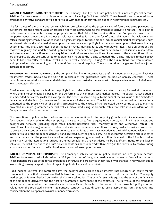**VARIABLE ANNUITY LIVING BENEFIT RIDERS** The Company's liability for future policy benefits includes general account liabilities for guarantees on variable annuity contracts, including GMAB and GMWB. These benefits are accounted for as embedded derivatives and are carried at fair value with changes in fair value included in net investment gains/(losses).

The fair values of the GMAB and GMWB liabilities are calculated as the present value of future expected payments to customers less the present value of assessed rider fees attributable to the embedded derivative feature. The expected cash flows are discounted using appropriate rates that take into consideration the Company's own risk of nonperformance. Since there is no observable active market for the transfer of these obligations, the valuations are calculated using internally developed models. Significant inputs to these models include capital market assumptions, such as interest rates and equity market assumptions, as well as various policyholder behavior assumptions that are actuarially determined, including lapse rates, benefit utilization rates, mortality rates and withdrawal rates. These assumptions are reviewed regularly, and updated based upon historical experience and give consideration to any observable market data, including market transactions such as acquisitions and reinsurance transactions. Since many of the assumptions utilized are unobservable and are considered to be significant inputs to the liability valuation, the liability included in future policy benefits has been reflected within Level 3 in the fair value hierarchy. During 2021, the assumptions that were reviewed and updated included mortality, volatility, fund fees, and fund mapping. These assumption changes resulted in a \$6,100 increase to reserves.

**FIXED INDEXED ANNUITY CONTRACTS** The Company's liability for future policy benefits includes general account liabilities for interest credits indexed to the S&P 500 in excess of the guaranteed rates on indexed annuity contracts. These benefits are accounted for as embedded derivatives and are carried at fair value with changes in fair value included in net investment gains/(losses).

Fixed indexed annuity contracts allow the policyholder to elect a fixed interest rate return or an equity market component where their interest credited is based on the performance of common stock market indices. The equity market option is an embedded derivative, similar to a call option. The benefit reserve is equal to the sum of the fair value of the embedded derivative and the host (or guaranteed) component of the contracts. The fair value of the embedded derivative is computed as the present value of benefits attributable to the excess of the projected policy contract values over the projected minimum guaranteed contract values, discounted using appropriate rates that take into consideration the Company's own risk of nonperformance.

The projections of policy contract values are based on assumptions for future policy growth, which include assumptions for expected index credits on the next policy anniversary date, future equity option costs, volatility, interest rates, and policyholder behavior (including lapse rates, benefit utilization rates, mortality rates and withdrawal rates). The projections of minimum guaranteed contract values include the same assumptions for policyholder behavior as were used to project policy contract values. The host contract is established at contract inception as the initial account value less the initial fair value of the embedded derivative and accreted over the policy's life. The host contract accretion rate is updated each quarter so that the present value of actual and expected guaranteed cash flows is equal to the initial host value. Since many of the assumptions utilized are unobservable and are considered to be significant inputs to the liability valuation, the liability included in future policy benefits has been reflected within Level 3 in the fair value hierarchy. During 2021, there was no impact to the liability due to the annual assumption review.

**INDEXED UNIVERSAL LIFE CONTRACTS** The Company's liability for future policy benefits includes general account liabilities for interest credits indexed to the S&P 500 in excess of the guaranteed rates on indexed universal life contracts. These benefits are accounted for as embedded derivatives and are carried at fair value with changes in fair value included in operating earnings as part of Benefits paid to policyholders and beneficiaries.

Fixed indexed universal life contracts allow the policyholder to elect a fixed interest rate return or an equity market component where their interest credited is based on the performance of common stock market indices. The equity market option is an embedded derivative, similar to a call option. The benefit reserve is equal to the sum of the fair value of the embedded derivative and the host (or guaranteed) component of the contracts. The fair value of the embedded derivative is computed as the present value of benefits attributable to the excess of the projected policy contract values over the projected minimum guaranteed contract values, discounted using appropriate rates that take into consideration the Company's own risk of nonperformance.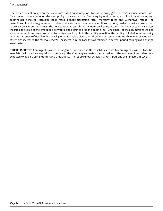The projections of policy contract values are based on assumptions for future policy growth, which include assumptions for expected index credits on the next policy anniversary date, future equity option costs, volatility, interest rates, and policyholder behavior (including lapse rates, benefit utilization rates, mortality rates and withdrawal rates). The projections of minimum guaranteed contract values include the same assumptions for policyholder behavior as were used to project policy contract values. The host contract is established at index bucket inception as the initial account value less the initial fair value of the embedded derivative and accreted over the policy's life. Since many of the assumptions utilized are unobservable and are considered to be significant inputs to the liability valuation, the liability included in future policy benefits has been reflected within Level 3 in the fair value hierarchy. There was a reserve method change as of January 1, 2021 which increased the reserve \$25,871. The increase in the liability was reflected in current period earnings as a change in estimate.

**OTHER LIABILITIES** Contingent payment arrangements included in Other liabilities relate to contingent payment liabilities associated with various acquisitions. Annually, the Company estimates the fair value of the contingent considerations expected to be paid using Monte Carlo simulations. Theses are unobservable market inputs and are reflected in Level 3.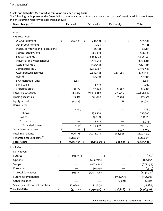#### **Assets and Liabilities Measured at Fair Value on a Recurring Basis**

The following table presents the financial instruments carried at fair value by caption on the Consolidated Balance Sheets and by valuation hierarchy (as described above):

| December 31, 2021                   | FV Level 1             | FV Level 2    | FV Level 3       | <b>Total</b>      |
|-------------------------------------|------------------------|---------------|------------------|-------------------|
| Assets:                             |                        |               |                  |                   |
| AFS securities:                     |                        |               |                  |                   |
| U.S. Government                     | \$<br>760,593<br>\$    | 234,931       | \$               | \$<br>995,524     |
| <b>Other Governments</b>            |                        | 15,328        |                  | 15,328            |
| States, Territories and Possessions |                        | 86,141        |                  | 86,141            |
| <b>Political Subdivisions</b>       |                        | 488,439       |                  | 488,439           |
| Special Revenue                     |                        | 1,806,523     |                  | 1,806,523         |
| Industrial and Miscellaneous        |                        | 9,974,214     |                  | 9,974,214         |
| <b>Residential MBS</b>              |                        | 1,124,481     |                  | 1,124,481         |
| Commercial MBS                      |                        | 2,776,587     |                  | 2,776,587         |
| Asset-backed securities             |                        | 2,692,581     | 268,568          | 2,961,149         |
| Hybrid                              |                        | 471,961       |                  | 471,961           |
| SVO Identified Funds                | 6,649                  |               |                  | 6,649             |
| <b>Bank Loans</b>                   |                        | 3,790         |                  | 3,790             |
| Preferred stock                     | 121,170                | 17,404        | 6,687            | 145,261           |
| <b>Total AFS securities</b>         | 888,412                | 19,692,380    | 275,255          | 20,856,047        |
| Trading securities                  | 19,417                 | 506,722       | 7,398            | 533,537           |
| Equity securities                   | 98,493                 |               | 11               | 98,504            |
| Derivatives:                        |                        |               |                  |                   |
| Futures                             | (144)                  |               |                  | (144)             |
| Options                             |                        | 735,560       |                  | 735,560           |
| Swaps                               |                        | 292,171       |                  | 292,171           |
| Forwards                            |                        | 5,705         |                  | 5,705             |
| Total derivatives                   | (144)                  | 1,033,436     |                  | 1,033,292         |
| Other invested assets               | \$<br>\$               |               | \$<br>5,977      | \$<br>5,977       |
| Total investments                   | 1,006,178              | 21,232,538    | 288,641          | 22,527,357        |
| Separate account assets (1)         | 10,128,591             |               |                  | 10,128,591        |
| Total Assets                        | \$<br>11,134,769<br>\$ | 21,232,538 \$ | 288,641<br>-\$   | 32,655,948        |
| Liabilities:                        |                        |               |                  |                   |
| Derivatives:                        |                        |               |                  |                   |
| Futures                             | \$<br>$(967)$ \$       |               | \$               | \$<br>(967)       |
| Options                             |                        | (460,793)     |                  | (460,793)         |
| Swaps                               |                        | (677, 434)    |                  | (677, 434)        |
| Forwards                            |                        | (6, 529)      |                  | (6, 529)          |
| <b>Total derivatives</b>            | (967)                  | (1, 144, 756) |                  | (1, 145, 723)     |
| Future policy benefits              |                        |               | (154, 797)       | (154, 797)        |
| Other liabilities                   |                        |               | (4,021)          | (4,021)           |
| Securities sold not yet purchased   | (2,054)                | (11,715)      |                  | (13,769)          |
| <b>Total Liabilities</b>            | \$<br>$(3,021)$ \$     | (1, 156, 471) | \$<br>(158, 818) | \$<br>(1,318,310) |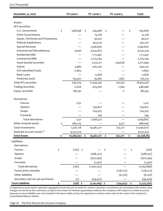*(\$ in Thousands)*

| December 31, 2020                   | FV Level 1                   | FV Level 2       |      | FV Level 3 |      | <b>Total</b>  |
|-------------------------------------|------------------------------|------------------|------|------------|------|---------------|
|                                     |                              |                  |      |            |      |               |
| Assets:<br>AFS securities:          |                              |                  |      |            |      |               |
| U.S. Government                     | \$<br>558,698                | \$<br>234,908    | \$   |            | \$   | 793,606       |
| <b>Other Governments</b>            |                              | 15,728           |      |            |      | 15,728        |
| States, Territories and Possessions |                              | 90,412           |      |            |      | 90,412        |
| <b>Political Subdivisions</b>       |                              | 403,170          |      |            |      | 403,170       |
| Special Revenue                     |                              | 1,546,600        |      |            |      | 1,546,600     |
| Industrial and Miscellaneous        | 9,656                        | 9,242,873        |      |            |      | 9,252,529     |
| <b>Residential MBS</b>              |                              | 1,111,447        |      |            |      | 1,111,447     |
| Commercial MBS                      |                              | 2,725,794        |      |            |      | 2,725,794     |
| Asset-backed securities             |                              | 2,032,311        |      | 239,638    |      | 2,271,949     |
| Hybrid                              | 3,980                        | 500,240          |      |            |      | 504,220       |
| SVO Identified Funds                | 11,863                       |                  |      |            |      | 11,863        |
| <b>Bank Loans</b>                   |                              | 11,828           |      |            |      | 11,828        |
| Preferred stock                     | 155,507                      | 19,080           |      | 1,687      |      | 176,274       |
| <b>Total AFS securities</b>         | 739,704                      | 17,934,391       |      | 241,325    |      | 18,915,420    |
| Trading securities                  | 11,626                       | 479,306          |      | 7,564      |      | 498,496       |
| Equity securities                   | 88,292                       |                  |      | 11         |      | 88,303        |
| Derivatives:                        |                              |                  |      |            |      |               |
| Futures                             | 1,231                        |                  |      |            |      | 1,231         |
| Options                             |                              | 793,827          |      |            |      | 793,827       |
| Swaps                               |                              | 254,503          |      |            |      | 254,503       |
| Forwards                            |                              | 244              |      |            |      | 244           |
| Total derivatives                   | 1,231                        | 1,048,574        |      |            |      | 1,049,805     |
| Other invested assets               | \$<br>485,275                |                  |      | 3,371      |      | 488,646       |
| Total investments                   | 1,326,128                    | 19,462,271       |      | 252,271    |      | 21,040,670    |
| Separate account assets (1)         | 9,257,514                    |                  |      |            |      | 9,257,514     |
| <b>Total Assets</b>                 | \$<br>10,583,642 \$          | 19,462,271       | - \$ | 252,271    | \$   | 30,298,184    |
| Liabilities:                        |                              |                  |      |            |      |               |
| Derivatives:                        |                              |                  |      |            |      |               |
| Futures                             | \$<br>(156)<br>$\frac{1}{2}$ |                  | \$   |            | \$   | (156)         |
| Options                             |                              | (588, 147)       |      |            |      | (588, 147)    |
| Swaps                               |                              | (502, 294)       |      |            |      | (502, 294)    |
| Forwards                            |                              | (1,301)          |      |            |      | (1,301)       |
| Total derivatives                   | (156)                        | (1,091,742)      |      |            |      | (1,091,898)   |
| Future policy benefits              |                              |                  |      | (128, 273) |      | (128, 273)    |
| Other liabilities                   |                              |                  |      | (6,150)    |      | (6,150)       |
| Securities sold not yet purchased   | (2)                          | (49, 427)        |      |            |      | (49, 429)     |
| <b>Total Liabilities</b>            | \$<br>$(158)$ \$             | $(1,141,169)$ \$ |      | (134, 423) | - \$ | (1, 275, 750) |

(1) Separate account assets represent segregated funds that are invested for certain customers. Investment risk associated with market value changes are borne by the customers, except to the extent of minimum guarantees made by the Company with respect to certain accounts. Separate account liabilities are not included in the above table as they are reported at contract value and not fair value in the Company's Consolidated Balance Sheets.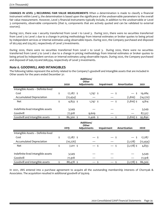**CHANGES IN LEVEL 3 RECURRING FAIR VALUE MEASUREMENTS** When a determination is made to classify a financial instrument within Level 3, the determination is based upon the significance of the unobservable parameters to the overall fair value measurement. However, Level 3 financial instruments typically include, in addition to the unobservable or Level 3 components, observable components (that is, components that are actively quoted and can be validated to external sources).

During 2021, there was 1 security transferred from Level 1 to Level 3. During 2021, there were no securities transferred from Level 3 to Level 2 due to a change in pricing methodology from internal estimates or broker quotes to being priced by independent services or internal estimates using observable inputs. During 2021, the Company purchased and disposed of \$62,095 and \$29,267, respectively of Level 3 investments.

During 2020, there were no securities transferred from Level 2 to Level 3. During 2020, there were no securities transferred from Level 3 to Level 2 due to a change in pricing methodology from internal estimates or broker quotes to being priced by independent services or internal estimates using observable inputs. During 2020, the Company purchased and disposed of \$46,129 and \$68,934, respectively of Level 3 investments.

## *Note 6.* **GOODWILL AND INTANGIBLES**

The following tables represent the activity related to the Company's goodwill and intangible assets that are included in Other assets for the years ended December 31:

|                                    |                   | <b>Additions/</b><br>Other |                   |                                |          |
|------------------------------------|-------------------|----------------------------|-------------------|--------------------------------|----------|
|                                    | 2020              | Adjustments                | <b>Impairment</b> | Amortization                   | 2021     |
| Intangible Assets - Definite-lived |                   |                            |                   |                                |          |
| Cost                               | \$<br>$17,287$ \$ | 1,797 \$                   |                   | $\overline{\phantom{0}}$<br>\$ | 19,084   |
| Accumulated Depreciation           | (12, 454)         |                            |                   | (1, 816)                       | (14,270) |
| <b>Net</b>                         | $4,833$ \$        | $1,797$ \$                 |                   | $(1, 816)$ \$                  | 4,814    |
| Indefinite-lived intangible assets | 3,549             |                            |                   |                                | 3,549    |
| Goodwill                           | 77,918            | 9,609                      |                   |                                | 87,527   |
| Goodwill and intangible assets     | 86,300 \$         | $11,406$ \$                |                   | $(1,816)$ \$                   | 95,890   |

|                                    | 2019            | <b>Additions/</b><br>Other<br>Adjustments | <b>Impairment</b> | Amortization       | 2020     |
|------------------------------------|-----------------|-------------------------------------------|-------------------|--------------------|----------|
| Intangible Assets - Definite-lived |                 |                                           |                   |                    |          |
| Cost                               | \$<br>17,287 \$ |                                           | — \$<br>\$        |                    | 17,287   |
| Accumulated Depreciation           | (10,276)        |                                           |                   | (2,178)            | (12,454) |
| <b>Net</b>                         | $7,011$ \$      |                                           | \$                | $(2,178)$ \$<br>\$ | 4,833    |
| Indefinite-lived intangible assets | 3,549           |                                           |                   |                    | 3,549    |
| Goodwill                           | 77,918          |                                           |                   |                    | 77,918   |
| Goodwill and intangible assets     | 88,478 \$       |                                           |                   | $(2,178)$ \$       | 86,300   |

In 2021, JMS entered into a purchase agreement to acquire all the outstanding membership interests of Chornyak & Associates. The acquisition resulted in additional goodwill of \$9,609.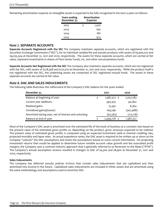Remaining amortization expense on intangible assets is expected to be fully recognized in the next 4 years as follows:

| Years ending<br>December 31, | Amortization<br>Expense |       |  |  |  |
|------------------------------|-------------------------|-------|--|--|--|
| 2022                         | Ś                       | 1,470 |  |  |  |
| 2023                         |                         | 593   |  |  |  |
| 2024                         |                         | 180   |  |  |  |
| 2025                         |                         | 973   |  |  |  |

## *Note 7.* **SEPARATE ACCOUNTS**

**Separate Accounts Registered with the SEC** The Company maintains separate accounts, which are registered with the Securities Exchange Commission ("SEC"), for its individual variable life and annuity products with assets of \$9,900,023 and \$9,035,504 at December 31, 2021 and 2020, respectively. The assets for these separate accounts, which are carried at fair value, represent investments in shares of Penn Series Funds, Inc. and other non-proprietary funds.

**Separate Accounts Not Registered with the SEC** The Company also maintains separate accounts, which are not registered with the SEC, with assets of \$228,568 and \$222,010 at December 31, 2021 and 2020, respectively. While the product itself is not registered with the SEC, the underlying assets are comprised of SEC registered mutual funds. The assets in these separate accounts are carried at fair value.

# *Note 8.* **DAC AND SALES INDUCEMENTS**

The following table illustrates the rollforward of the Company's DAC balance for the years ended:

| December 31,                                         | 2021               | 2020       |
|------------------------------------------------------|--------------------|------------|
| Balance at beginning of year                         | \$<br>1,987,322 \$ | 2,057,283  |
| Current year additions                               | 390,303            | 341,841    |
| Realized gains                                       | 15,392             | 8,364      |
| Unrealized gains/(losses)                            | 169,296            | (307,988)  |
| Amortized during year, net of interest and unlocking | (62,585)           | (112, 178) |
| Balance at end of year                               | 2,499,728 \$       | 1,987,322  |

Most of the Company's DAC asset is amortized over the estimated life of the book of business at a constant rate based on the present value of the estimated gross profits or, depending on the product, gross revenues expected to be realized. The present value of estimated gross profits is computed using an expected investment yield or interest crediting rate, projected mortality and lapse rates. As actual experience varies, the DAC asset is required to be written up or down as the Company "unlocks" the DAC assumptions and resets the assumptions based on more current information. For projecting investment returns that would be applied to determine future variable account value growth and the associated profit margins, the Company uses a common industry approach that is generally referred to as Reversion to the Mean ("RTM"). The Company's annual assumption reviews resulted in changes to DAC of \$4,300 and \$8,900 at December 31, 2021 and 2020, respectively.

#### **Sales Inducements**

The Company has deferred annuity policies in-force that contain sales inducements that are capitalized and then amortized into income in the future. Capitalized sales inducements are included in Other assets and are amortized using the same methodology and assumptions used to amortize DAC.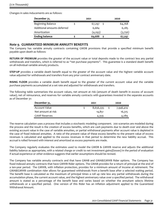Changes in sales inducements are as follows:

| December 31,                | 2021        |   | 2020    |
|-----------------------------|-------------|---|---------|
| Beginning Balance           | $67,297$ \$ |   | 64,768  |
| Additional amounts deferred | 6,684       |   | 6,285   |
| Amortization                | (4,293)     |   | (3,756) |
| <b>Ending balance</b>       | 69,688      | Ś | 67,297  |
|                             |             |   |         |

### *Note 9.* **GUARANTEED MINIMUM ANNUITY BENEFITS**

The Company has variable annuity contracts containing GMDB provisions that provide a specified minimum benefit payable upon death as follows:

**RETURN OF PREMIUM** provides the greater of the account value or total deposits made to the contract less any partial withdrawals and transfers, which is referred to as "net purchase payments". This guarantee is a standard death benefit on all individual variable annuity products.

**STEP-UP** provides a variable death benefit equal to the greater of the account value and the highest variable account value adjusted for withdrawals and transfers from any prior contract anniversary date.

**RISING FLOOR** provides a variable death benefit equal to the greater of the current account value and the variable purchase payments accumulated at a set rate and adjusted for withdrawals and transfers.

The following table summarizes the account values, net amount at risk (amount of death benefit in excess of account value), net of reinsurance, and reserves for variable annuity contracts with guarantees invested in the separate accounts as of December 31:

| December 31,         | 2021 |           |  | 2020      |  |  |
|----------------------|------|-----------|--|-----------|--|--|
| <b>Account Value</b> |      | 8,656,335 |  | 7,946,414 |  |  |
| Net amount at risk   |      | 14,851    |  | 16,315    |  |  |
| <b>GAAP Reserves</b> |      | 4,359     |  | 4,289     |  |  |

The reserve calculation uses a process that includes a stochastic modeling component. 200 scenarios are modeled during the process and the result is the creation of excess benefits, which are cash payments due to death over and above the existing account value in the case of variable annuities, or partial withdrawal payments after account value is depleted in the case of fixed indexed annuities. A ratio of the present value of these excess benefits to the present value of excess revenues is calculated and applied to the excess revenues in that period to determine the new liability accrual. This accrual is rolled forward with interest and amortized as excess payments are made.

The Company regularly evaluates the estimates used to model the GMDB & GMWB reserve and adjusts the additional liability balance as appropriate, with a related charge or credit to net investment gains/(losses) in the period of evaluation if actual experience or other evidence suggests that earlier assumptions should be revised.

The Company has variable annuity contracts and that have GMAB and GMAB/GMWB Rider options. The Company has fixed indexed annuity contracts that have GMWB Rider options. The GMAB provides for a return of principal at the end of a ten-year period. The GMWB, with inflation protection, provides for a minimum amount of income at retirement. The GMAB/GMWB combination rider allows for guaranteed withdrawals from a benefit base after a selected waiting period. The benefit base is calculated as the maximum of principal times a roll up rate less any partial withdrawals during the accumulation phase, the current account value, and the highest anniversary value over a specified period. The withdrawal amount is stated as a percentage of the benefit base and varies based on whether the annuitant selects lifetime withdrawals or a specified period. One version of this Rider has an inflation adjustment applied to the Guaranteed Withdrawal Amount.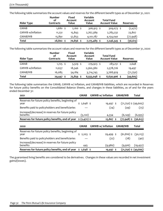The following table summarizes the account values and reserves for the different benefit types as of December 31, 2021:

| <b>Rider Type</b> | <b>Number</b><br>οf<br>Contracts | Fixed<br>Account<br><b>Value</b> | Variable<br>Account<br>Value | <b>Total Fund</b><br><b>Account Value</b> | <b>Reserves</b> |
|-------------------|----------------------------------|----------------------------------|------------------------------|-------------------------------------------|-----------------|
| <b>GMAB</b>       | $1,680$ \$                       | $2,160$ \$                       | 306,913 \$                   | 309,073 \$                                | (2,472)         |
| GMWB w/inflation  | 11,231                           | 15,843                           | 2,767,389                    | 2,783,232                                 | 23,807          |
| GMAB/WB           | 15,891                           | 52,853                           | 4,101,187                    | 4,154,040                                 | (77,948)        |
| <b>Total</b>      | 28,802 \$                        | 70,856 \$                        | 7,175,489 \$                 | $7,246,345$ \$                            | (56, 613)       |

The following table summarizes the account values and reserves for the different benefit types as of December 31, 2020:

| <b>Rider Type</b> | <b>Number</b><br>οf<br>Contracts | Fixed<br>Account<br>Value | Variable<br>Account<br>Value | <b>Total Fund</b><br><b>Account Value</b> | <b>Reserves</b> |
|-------------------|----------------------------------|---------------------------|------------------------------|-------------------------------------------|-----------------|
| GMAB              | $1,725$ \$                       | $3,329$ \$                | 279,923 \$                   | $283,251$ \$                              | 2,648           |
| GMWB w/inflation  | 11,637                           | 18,346                    | 2,560,380                    | 2,578,726                                 | 19,497          |
| GMAB/WB           | 16,085                           | 54,184                    | 3,714,745                    | 3,768,929                                 | (71,750)        |
| <b>Total</b>      | $29,447$ \$                      | 75,859 \$                 | $6,555,048$ \$               | $6,630,906$ \$                            | (49,605)        |

The following table summarizes the GMAB, GMWB w/ inflation, and GMAB/WB liabilities, which are recorded in Reserves for future policy benefits on the Consolidated Balance Sheets, and changes in these liabilities, as of and for the years ended December 31:

| 2021                                                          | <b>GMAB</b>              | <b>GMWB</b> w/ inflation | <b>GMAB/WB</b> | Total                    |
|---------------------------------------------------------------|--------------------------|--------------------------|----------------|--------------------------|
| Reserves for future policy benefits, beginning of<br>year     | \$2,648\$                | $19,497$ \$              |                | $(71,750)$ \$ $(49,605)$ |
| Benefits paid to policyholders and beneficiaries              |                          | (24)                     | (49)           | (73)                     |
| Increase/(decrease) in reserves for future policy<br>benefits | (5, 120)                 | 4,334                    | (6, 149)       | (6,935)                  |
| Reserves for future policy benefits, end of year              | $\frac{1}{2}$ (2,472) \$ | 23,807 \$                | $(77, 948)$ \$ | (56, 613)                |
|                                                               |                          |                          |                |                          |
| 2020                                                          | <b>GMAB</b>              | <b>GMWB</b> w/ inflation | <b>GMAB/WB</b> | Total                    |
| Reserves for future policy benefits, beginning of<br>year     | $2,203$ \$<br>Ś.         | 29,499 \$                | $(61, 816)$ \$ | (30, 113)                |
| Benefits paid to policyholders and beneficiaries              |                          | (22)                     | (18)           | (40)                     |
| Increase/(decrease) in reserves for future policy<br>benefits | 445                      | (9,980)                  | (9, 916)       | (19, 452)                |

The guaranteed living benefits are considered to be derivatives. Changes in these values are recorded in net investment gains/(losses).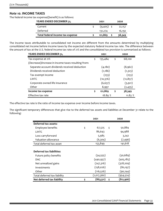# *Note 10.* **INCOME TAXES**

The federal income tax expense/(benefit) is as follows:

| YEARS ENDED DECEMBER 31,         | 2021         | 2020   |
|----------------------------------|--------------|--------|
| Current                          | $(9,405)$ \$ | 22,157 |
| Deferred                         | 131,274      | 16,192 |
| Total federal income tax expense | 121,869      | 38,349 |

The income taxes attributable to consolidated net income are different from the amounts determined by multiplying consolidated net income before income taxes by the expected statutory federal income tax rate. The difference between the amount of tax at the U.S. federal income tax rate of 21% and the consolidated tax provision is summarized as follows:

| YEARS ENDED DECEMBER 31,                            | 2021          | 2020         |
|-----------------------------------------------------|---------------|--------------|
| Tax expense at 21%                                  | \$<br>135,484 | \$<br>68,100 |
| (Decrease)/increase in income taxes resulting from: |               |              |
| Separate account dividends received deduction       | (4,180)       | (8,962)      |
| Dividends received deduction                        | (1, 186)      | (1,323)      |
| Tax exempt income                                   | (233)         | (253)        |
| <b>LIHTC</b>                                        | (10, 376)     | (12, 857)    |
| Corporate owned life insurance                      | (6, 637)      | (3,921)      |
| Other                                               | 8,997         | (2, 435)     |
| Income tax expense                                  | \$<br>121,869 | \$<br>38,349 |
| Effective tax rate                                  | 18.89%        | 11.83%       |

The effective tax rate is the ratio of income tax expense over income before income taxes.

The significant temporary differences that give rise to the deferred tax assets and liabilities at December 31 relate to the following:

|                                  | 2021            | 2020            |
|----------------------------------|-----------------|-----------------|
| Deferred tax assets:             |                 |                 |
| Employee benefits                | \$<br>67,525    | \$<br>50,884    |
| <b>LIHTC</b>                     | 86,643          | 94,988          |
| Loss carryforward                | 5,985           | 3,242           |
| Valuation allowance              | (6,304)         | (7, 496)        |
| Total deferred tax asset         | 153,849         | 141,618         |
| <b>Deferred tax liabilities:</b> |                 |                 |
| Future policy benefits           | (54, 555)       | (50, 689)       |
| DAC.                             | (440, 937)      | (405, 185)      |
| Net unrealized gains             | (247,316)       | (328, 209)      |
| Investments                      | (158, 026)      | (80, 197)       |
| Other                            | (116, 526)      | (90, 244)       |
| Total deferred tax liability     | (1,017,360)     | (954,524)       |
| Net deferred tax liability       | \$<br>(863,511) | \$<br>(812,906) |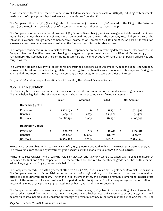As of December 31, 2021, we recorded a net current federal income tax receivable of \$138,322, including cash payments made in 2021 of \$145,445, which primarily relate to refunds due from the IRS.

The Company utilized \$18,721, (including return to provision adjustments of \$11,206 related to the filing of the 2020 tax return) of the total LIHTC available of as of December 31, 2021 that will begin to expire in 2034.

The Company recorded a valuation allowance of \$6,304 as of December 31, 2021, as management determined that it was more likely than not that Vantis' deferred tax assets would not be realized. The Company recorded \$0 and \$0 of the valuation allowance through other comprehensive Income as of December 31, 2021 and 2020. As part of its valuation allowance assessment, management considered the four sources of future taxable income.

The Company considered future reversals of taxable temporary differences in realizing deferred tax assets, however, the Company has not identified any tax planning strategies to support realization of its DTAs at December 31, 2021. Furthermore, the Company does not anticipate future taxable income exclusive of reversing temporary differences and carryforwards.

The Company did not have any tax reserves for uncertain tax positions as of December 31, 2021 and 2020. The Company recognizes interest and penalties, if any, related to unrecognized tax benefits, as a component of tax expense. During the years ended December 31, 2021 and 2020, the Company did not recognize or accrue penalties or interest.

Tax years 2018 and subsequent are still subject to audit by the Internal Revenue Service.

## *Note 11.* **REINSURANCE**

The Company has assumed and ceded reinsurance on certain life and annuity contracts under various agreements. The table below highlights the reinsurance amounts shown in the accompanying financial statements.

|                    | <b>Direct</b>   | Assumed   |    | Ceded   |    | <b>Net Amount</b> |
|--------------------|-----------------|-----------|----|---------|----|-------------------|
| December 31, 2021: |                 |           |    |         |    |                   |
| Premiums           | \$<br>1,580,633 | \$<br>616 | \$ | 52,256  | \$ | 1,528,993         |
| <b>Benefits</b>    | 1,409,122       | 5,853     |    | 258,001 |    | 1,156,974         |
| Reserves           | 20,680,196      | 2,905     |    | 882,356 |    | 19,800,745        |
| December 31, 2020: |                 |           |    |         |    |                   |
| Premiums           | \$<br>1,299,173 | \$<br>315 | \$ | 49,471  | \$ | 1,250,017         |
| <b>Benefits</b>    | 1,193,947       | 14,804    |    | 176,175 |    | 1,032,576         |
| Reserves           | 18,506,493      | 2,789     |    | 912,676 |    | 17,596,606        |

Reinsurance recoverables with a carrying value of \$529,504 were associated with a single reinsurer at December 31, 2021. The recoverables are secured by investment grade securities with a market value of \$637,225 held in trust.

Reinsurance recoverables with a carrying value of \$175,206 and \$179,647 were associated with a single reinsurer at December 31, 2021 and 2020, respectively. The recoverables are secured by investment grade securities with a market value of \$279,931 and \$282,550, respectively, held in trust.

The Company entered into a YRT agreement effective April 1, 2017, to reinsure an existing block of Universal Life business. The Company recorded an Other liabilities in the amounts of \$9,398 and \$10,902 at December 31, 2021 and 2020, with an offset to ceded deferred premium. After the initial twelve months, the deferred premium is amortized against gross profits of the reinsured block of business for a period limited to 15 years. The Company recognized amortization of unearned revenue of \$5,639 and \$4,135 through December 31, 2021 and 2020, respectively.

The Company entered into a coinsurance agreement effective January 1, 2013, to coinsure an existing block of guaranteed term products issued from 2007 through 2012. The Company established a Cost of Reinsurance asset of \$35,432 that will be amortized into income over a constant percentage of premium income, in the same manner as the original DAC. The

#### *Page 34 The Penn Mutual Life Insurance Company*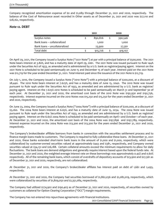Company recognized amortization expense of \$0 and \$1,089 through December 31, 2021 and 2020, respectively. The balance of the Cost of Reinsurance asset recorded in Other assets as of December 31, 2021 and 2020 was \$27,110 and \$28,162, respectively.

## *Note 12.* **DEBT**

|                               | 2021    | 2020    |
|-------------------------------|---------|---------|
| Surplus notes                 | 890,826 | 390,546 |
| Bank loans – collateralized   | 1,000   | 1,000   |
| Bank loans – uncollateralized | 23,900  | 27,561  |
| Total debt                    | 915,726 | 419,107 |

On April 29, 2021, the Company issued a Surplus Note ("2021 Note") at par with a principal balance of \$500,000. The 2021 Note bears interest at 3.80%, and has a maturity date of April 29, 2061. The 2021 Note was issued pursuant to Rule 144A under the Securities Act of 1933, as amended and is administered by a U.S. bank as registrar/paying agent. Interest on the 2021 Note is scheduled to be paid semiannually on June 15 and December 15 of each year. Interest paid on the 2021 Note was \$12,719 for the year ended December 31, 2021. Total interest paid since the issuance of the 2021 Note is \$12,719.

On July 1, 2010, the Company issued a Surplus Note ("2010 Note") with a principal balance of \$200,000, at a discount of \$8,440. The 2010 Note bears interest at 7.625%, and has a maturity date of June 15, 2040. The 2010 Note was issued pursuant to Rule 144A under the Securities Act of 1933, as amended and are administered by a U.S. bank as registrar/ paying agent. Interest on the 7.625% 2010 Notes is scheduled to be paid semiannually on March 31 and September 30 of each year. At December 31, 2021 and 2020, the amortized cost basis of the 2010 Note was \$192,930 and \$192,756, respectively. Interest expense incurred on the 2010 Notes was \$15,250 and \$15,250 for the years ended December 31, 2021 and 2020, respectively.

On June 23, 2004, the Company issued a Surplus Note ("2004 Note") with a principal balance of \$200,000, at a discount of \$3,260. The 2004 Note bears interest at 6.65%, and has a maturity date of June 15, 2034. The 2004 Note was issued pursuant to Rule 144A under the Securities Act of 1933, as amended and are administered by a U.S. bank as registrar/ paying agent. Interest on the 6.65% 2004 Note is scheduled to be paid semiannually on April 1 and October 1 of each year. At December 31, 2021 and 2020, the amortized cost basis of the 2004 Note was \$197,896 and \$197,789, respectively. Interest expense incurred on the 2004 Note was \$13,300 and \$13,300 for the years ended December 31, 2021 and 2020, respectively.

The Company's broker/dealer affiliate borrows from banks in connection with the securities settlement process and to finance margin loans made to customers. The Company is required to fully collateralize these loans. At December 31, 2021 and 2020, these banks extended short-term bank loans in the amount of \$1,000 and \$1,000, respectively, which were collateralized by customer-owned securities valued at approximately \$443 and \$381, respectively, and Company owned securities valued at \$34,131 and \$26,188. Certain collateral amounts exceed the minimum requirements to allow for daily fluctuations. The bank loans are demand obligations and generally require interest based upon the federal funds rate. At December 31, 2021 and 2020, the weighted-average interest rate on these borrowings was approximately 0.45% and 0.60% respectively. All of the remaining bank loans, which consist of overdrafts of depository accounts of \$23,900 and \$27,561 as of December 31, 2021 and 2020, respectively, are not collateralized.

At December 31, 2021 and 2020, the Company's broker/dealer affiliate has interest paid on debt of 1,661 and 2,493, respectively.

At December 31, 2021 and 2020, the Company had securities borrowed of \$1,862,036 and \$2,082,019, respectively, which were collateralized by securities of \$1,809,050 and \$2,351,084, respectively.

The Company had utilized \$274,902 and \$190,403 as of December 31, 2021 and 2020, respectively, of securities owned by customers as collateral for Option Clearing Corporation ("OCC") margin requirements.

The Company has not entered into repurchase agreements with financial institutions.

*2021 Consolidated GAAP Financial Statements Page 35*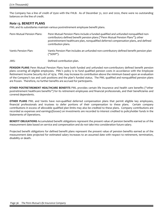The Company has a line of credit of \$500 with the FHLB. As of December 31, 2021 and 2020, there were no outstanding balances on the line of credit.

## *Note 13.* **BENEFIT PLANS**

PML and its subsidiaries maintain various postretirement employee benefit plans.

| Penn Mutual Pension Plans: | Penn Mutual Pension Plans include a funded qualified and unfunded nonqualified non-<br>contributory defined benefit pension plans ("Penn Mutual Pension Plans"); other<br>postretirement healthcare plan, nonqualified deferred compensation plans, and defined<br>contribution plans. |
|----------------------------|----------------------------------------------------------------------------------------------------------------------------------------------------------------------------------------------------------------------------------------------------------------------------------------|
| Vantis Pension Plan:       | Vantis Pension Plan includes an unfunded non-contributory defined benefit pension plan<br>(''SERP'').                                                                                                                                                                                  |
| JMS:                       | Defined contribution plan.                                                                                                                                                                                                                                                             |

**PENSION PLANS** Penn Mutual Pension Plans have both funded and unfunded non-contributory defined benefit pension plans covering all eligible employees. PML's policy is to fund qualified pension costs in accordance with the Employee Retirement Income Security Act of 1974. PML may increase its contribution above the minimum based upon an evaluation of the Company's tax and cash positions and the plan's funded status. The PML qualified and nonqualified pension plans are frozen. Therefore, no further benefits are accrued for participants.

**OTHER POSTRETIREMENT HEALTHCARE BENEFITS** PML provides certain life insurance and health care benefits ("other postretirement healthcare benefits") for its retirement employees and financial professionals, and their beneficiaries and covered dependents.

**OTHER PLANS** PML and Vantis have non-qualified deferred compensation plans that permit eligible key employees, financial professionals and trustees to defer portions of their compensation to these plans. Certain company contributions in excess of allowable qualified plan limits may also be credited to these plans. Company contributions are recorded as expenses and earnings/(losses) on investments are recorded to interest credited to policyholder funds in the Statements of Operations.

**BENEFIT OBLIGATIONS** Accumulated benefit obligations represent the present value of pension benefits earned as of the measurement date based on service and compensation and do not take into consideration future salary.

Projected benefit obligations for defined benefit plans represent the present value of pension benefits earned as of the measurement date projected for estimated salary increases to an assumed date with respect to retirement, termination, disability or death.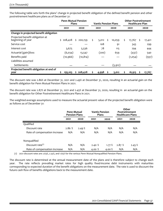The following table sets forth the plans' change in projected benefit obligation of the defined benefit pension and other postretirement healthcare plans as of December 31:

|                                                      |               | <b>Penn Mutual Pension</b><br><b>Plans</b> |              |       | <b>Vantis Pension Plans</b> | <b>Other Postretirement</b><br><b>Healthcare Plan</b> |         |    |        |
|------------------------------------------------------|---------------|--------------------------------------------|--------------|-------|-----------------------------|-------------------------------------------------------|---------|----|--------|
|                                                      | 2021          | 2020                                       | 2021         |       | 2020                        |                                                       | 2021    |    | 2020   |
| Change in projected benefit obligation               |               |                                            |              |       |                             |                                                       |         |    |        |
| Projected benefit obligation at<br>beginning of year | \$208,428     | 200,159<br>Ś.                              | \$.<br>5,012 | \$    | 10,059                      | \$                                                    | 17,767  | \$ | 17,421 |
| Service cost                                         |               |                                            |              | 108   | 91                          |                                                       | 343     |    | 299    |
| Interest cost                                        | 3,675         | 5,536                                      |              | 78    | 115                         |                                                       | 294     |    | 444    |
| Actuarial (gain)/loss                                | (6, 034)      | 13,547                                     |              | (200) | 659                         |                                                       | (437)   |    | 540    |
| Benefits paid                                        | (10, 966)     | (10, 814)                                  |              |       |                             |                                                       | (1,054) |    | (937)  |
| Liabilities assumed                                  |               |                                            |              |       |                             |                                                       |         |    |        |
| Settlements                                          |               |                                            |              |       | (5, 912)                    |                                                       |         |    |        |
| Projected benefit obligation at end of<br>year       | \$<br>195,103 | 208,428<br>\$.                             | 4,998<br>\$  | \$    | 5,012                       | \$                                                    | 16,913  | s. | 17,767 |

The discount rate was 2.86% at December 31, 2021 and 2.49% at December 31, 2020, resulting in an actuarial gain on the benefit obligation for Penn Mutual Pension Plans in 2021.

The discount rate was 2.87% at December 31, 2021 and 2.45% at December 31, 2020, resulting in an actuarial gain on the benefit obligation for Other Postretirement Healthcare Plans in 2021.

The weighted-average assumptions used to measure the actuarial present value of the projected benefit obligation were as follows as of December 31:

|                               | Penn Mutual<br><b>Pension Plans</b> |       | <b>Vantis Pension</b><br><b>Plans</b> |          | Other<br>Postretirement<br><b>Healthcare Plans</b> |       |  |
|-------------------------------|-------------------------------------|-------|---------------------------------------|----------|----------------------------------------------------|-------|--|
|                               | 2021                                | 2020  | 2021                                  | 2020     | 2021                                               | 2020  |  |
| Qualified                     |                                     |       |                                       |          |                                                    |       |  |
| Discount rate                 | 2.86%                               | 2.49% | N/A                                   | N/A      | N/A                                                | N/A   |  |
| Rate of compensation increase | N/A                                 | N/A   | N/A                                   | N/A      | N/A                                                | N/A   |  |
| Nonqualified                  |                                     |       |                                       |          |                                                    |       |  |
| Discount rate <sup>(1)</sup>  | N/A                                 | N/A   | 2.40%                                 | $1.77\%$ | 2.87%                                              | 2.45% |  |
| Rate of compensation increase | N/A                                 | N/A   | 4.00 $%$                              | 4.00 $%$ | N/A                                                | N/A   |  |

(1) 2021 discount rates are 2.63%, 2.55%, and 1.65% for the various Penn Mutual Nonqualified Pension Plans.

The discount rate is determined at the annual measurement date of the plans and is therefore subject to change each year. The rate reflects prevailing market rates for high quality fixed-income debt instruments with maturities corresponding to expected duration of the benefit obligations on the measurement date. The rate is used to discount the future cash flow of benefits obligations back to the measurement date.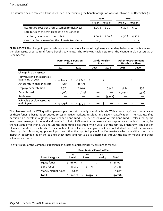The assumed health care cost trend rates used in determining the benefit obligation were as follows as of December 31:

|                                                    | 2021          |                 | 2020          |         |
|----------------------------------------------------|---------------|-----------------|---------------|---------|
|                                                    | <b>Pre-65</b> | Post-65         | <b>Pre-65</b> | Post-65 |
| Health care cost trend rate assumed for next year  | 6.25%         | 6.25%           | 6.20%         | 6.50%   |
| Rate to which the cost trend rate is assumed to    |               |                 |               |         |
| decline (the ultimate trend rate)                  |               | $5.00\%$ 5.00 % | 4.50 $%$      | 4.50%   |
| Year that the rate reaches the ultimate trend rate | 2027          | 2027            | 2027          | 2027    |

**PLAN ASSETS** The change in plan assets represents a reconciliation of beginning and ending balances of the fair value of the plan assets used to fund future benefit payments. The following table sets forth the change in plan assets as of December 31:

|                                                    | <b>Penn Mutual Pension</b> | <b>Plans</b> |           | <b>Vantis Pension</b> | <b>Plans</b> |          | <b>Other Postretirement</b><br><b>Healthcare Plans</b> |         |      |       |
|----------------------------------------------------|----------------------------|--------------|-----------|-----------------------|--------------|----------|--------------------------------------------------------|---------|------|-------|
|                                                    | 2021                       |              | 2020      | 2020<br>2021          |              |          |                                                        | 2021    | 2020 |       |
| Change in plan assets:                             |                            |              |           |                       |              |          |                                                        |         |      |       |
| Fair value of plans assets at<br>beginning of year | 224,075                    | \$.          | 213,878   | \$                    |              |          |                                                        |         |      |       |
| Actual return on plan assets                       | 15,271                     |              | 18,371    |                       |              |          |                                                        |         |      |       |
| Employer contribution                              | 2,378                      |              | 2,640     |                       |              | 5,912    |                                                        | 1,054   |      | 937   |
| Benefits paid                                      | (10,966)                   |              | (10, 814) |                       |              |          |                                                        | (1,054) |      | (937) |
| Settlement                                         |                            |              |           |                       |              | (5, 912) |                                                        |         |      |       |
| Fair value of plan assets at<br>end of year        | 230,758<br>\$.             | \$           | 224,075   | \$                    |              |          |                                                        |         |      |       |

The plan assets of the PML qualified pension plan consist primarily of mutual funds. With a few exceptions, the fair value of these funds is based upon quoted prices in active markets, resulting in a Level 1 classification. The PML qualified pension plan invests in a global unconstrained bond fund. The net asset value of this bond fund is calculated by the investment manager of the fund and provided to PML. PML uses this net asset value as a practical expedient to recognize the fair value of this fund. As a result, this bond fund is classified within Level 2 of the fair value hierarchy. The pension plan also invests in index funds. The estimates of fair value for these plan assets are included in Level 2 of the fair value hierarchy. In this category, pricing inputs are other than quoted prices in active markets which are either directly or indirectly observable as of the balance sheet date, and fair value is determined through the use of models and other valuation methods.

The fair values of the Company's pension plan assets as of December 31, 2021 are as follows:

|                       |               | <b>Penn Mutual Pension Plans</b> |               |           |  |  |  |  |  |  |  |  |  |
|-----------------------|---------------|----------------------------------|---------------|-----------|--|--|--|--|--|--|--|--|--|
| <b>Asset Category</b> | FV<br>Level 1 | FV<br>Level 2                    | FV<br>Level 3 | Total     |  |  |  |  |  |  |  |  |  |
| Equity funds          | 68,073        | - \$                             | $\sim$ 5      | 68,073    |  |  |  |  |  |  |  |  |  |
| Bond funds            | 148,292       | 6,496                            |               | 154,788   |  |  |  |  |  |  |  |  |  |
| Money market funds    | 7,897         |                                  |               | 7,897     |  |  |  |  |  |  |  |  |  |
| Total                 | \$224,262     | 6,496                            | -\$           | \$230,758 |  |  |  |  |  |  |  |  |  |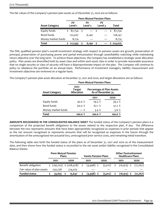The fair values of the Company's pension plan assets as of December 31, 2020 are as follows:

|                       | <b>Penn Mutual Pension Plans</b> |    |               |          |               |       |         |  |  |  |  |  |
|-----------------------|----------------------------------|----|---------------|----------|---------------|-------|---------|--|--|--|--|--|
| <b>Asset Category</b> | FV<br>Level 1                    |    | FV<br>Level 2 |          | FV<br>Level 3 | Total |         |  |  |  |  |  |
| Equity funds          | 87,754                           | \$ |               | $\sim$ 5 |               |       | 87,754  |  |  |  |  |  |
| Bond funds            | 122,007                          |    | 6,140         |          |               |       | 128,147 |  |  |  |  |  |
| Money market funds    | 8,174                            |    |               |          |               |       | 8,174   |  |  |  |  |  |
| Total                 | 217,935                          |    | 6.140         | \$       |               |       | 224,075 |  |  |  |  |  |

The PML qualified pension plan's overall investment strategy with respect to pension assets are growth, preservation of principal, preservation of purchasing power and partial immunization through asset/liability matching while maintaining return objective over the long term. To achieve these objectives, the Company has established a strategic asset allocation policy. Plan assets are diversified both by asset class and within each asset class in order to provide reasonable assurance that no single security or class of security will have a disproportionate impact on the plan. The Company will continue its policy to rebalance the portfolio on an annual basis. Performance of investment managers, liability measurement and investment objectives are reviewed on a regular basis.

The Company's pension plan asset allocation at December 31, 2021 and 2020, and target allocations are as follows:

|                       | <b>Penn Mutual Pension Plans</b>           |                                                        |           |  |  |  |  |  |  |  |
|-----------------------|--------------------------------------------|--------------------------------------------------------|-----------|--|--|--|--|--|--|--|
| <b>Asset Category</b> | 2022<br><b>Target</b><br><b>Allocation</b> | <b>Percentage of Plan Assets</b><br>As of December 31, |           |  |  |  |  |  |  |  |
|                       |                                            | 2021                                                   | 2020      |  |  |  |  |  |  |  |
| Equity funds          | 40.0 %                                     | 29.5%                                                  | 39.2 %    |  |  |  |  |  |  |  |
| Bond funds            | 60.0 $%$                                   | 67.1%                                                  | 57.2%     |  |  |  |  |  |  |  |
| Money market funds    | $- \frac{9}{6}$                            | 3.4%                                                   | 3.6%      |  |  |  |  |  |  |  |
| Total                 | 100.0 $%$                                  | 100.0 $%$                                              | 100.0 $%$ |  |  |  |  |  |  |  |

**AMOUNTS RECOGNIZED IN THE CONSOLIDATED BALANCE SHEET** The funded status of the Company's pension plans is a comparison of the projected benefit obligations to the assets related to the respective plan, if any. The difference between the two represents amounts that have been appropriately recognized as expenses in prior periods that appear as the net amount recognized or represents amounts that will be recognized as expenses in the future through the amortization of the unrecognized net actuarial loss, unrecognized prior service costs, and remaining initial transition.

The following table sets forth the funded status of the plans as of December 31, 2021 and 2020 as of the measurement date, and then shows how the funded status is reconciled to the net asset and/or liability recognized in the Consolidated Balance Sheets.

|                           | <b>Penn Mutual Pension</b><br>Plans |         |  |                              |              | <b>Vantis Pension Plans</b> |  |         |      | <b>Other Postretirement</b><br><b>Healthcare Plans</b> |           |  |  |  |
|---------------------------|-------------------------------------|---------|--|------------------------------|--------------|-----------------------------|--|---------|------|--------------------------------------------------------|-----------|--|--|--|
|                           |                                     | 2021    |  | 2020                         | 2021<br>2020 |                             |  |         | 2021 | 2020                                                   |           |  |  |  |
| Benefit obligation        | Ś.                                  |         |  | $(195, 103)$ \$ $(208, 428)$ | Ś.           | $(4,998)$ \$                |  | (5,012) | Š.   | $(16, 913)$ \$                                         | (17,767)  |  |  |  |
| Fair value of plan assets |                                     | 230,758 |  | 224,075                      |              |                             |  |         |      |                                                        |           |  |  |  |
| <b>Funded status</b>      |                                     | 35,655  |  | 15,647                       |              | (4.998)                     |  | (5,012) |      | (16, 913)                                              | (17, 767) |  |  |  |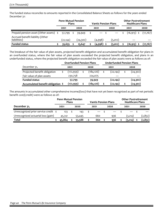The funded status reconciles to amounts reported in the Consolidated Balance Sheets as follows for the years ended December 31:

|                                                  | <b>Penn Mutual Pension</b> | <b>Plans</b> |          | <b>Vantis Pension Plans</b> |         | <b>Other Postretirement</b><br><b>Healthcare Plans</b> |               |           |  |
|--------------------------------------------------|----------------------------|--------------|----------|-----------------------------|---------|--------------------------------------------------------|---------------|-----------|--|
|                                                  | 2021                       |              | 2020     | 2021                        | 2020    |                                                        | 2021          | 2020      |  |
| Prepaid pension asset (Other assets) \$          | 57,799                     |              | 39,949   |                             |         |                                                        | $(16,913)$ \$ | (17,767)  |  |
| Accrued benefit liability (Other<br>liabilities) | (22,144)                   |              | (24,302) | (4,998)                     | (5,012) |                                                        |               |           |  |
| <b>Funded status</b>                             | 35,655                     |              | 15,647   | (4,998)                     | (5,012) |                                                        | (16, 913)     | (17, 767) |  |

The breakout of the fair value of plan assets, projected benefit obligation and accumulated benefit obligation for plans in an overfunded status, where the fair value of plan assets exceeded the projected benefit obligation, and plans in an underfunded status, where the projected benefit obligation exceeded the fair value of plan assets were as follows as of:

|                                   |  | <b>Overfunded Pension Plans</b> |                  | <b>Underfunded Pension Plans</b> |      |          |  |  |  |
|-----------------------------------|--|---------------------------------|------------------|----------------------------------|------|----------|--|--|--|
| December 31,                      |  | 2021                            | 2020             | 2021                             | 2020 |          |  |  |  |
| Projected benefit obligation      |  | (172, 959)                      | (184, 126)       | (22, 144)                        |      | (24,302) |  |  |  |
| Fair value of plan assets         |  | 230,758                         | 224,075          |                                  |      |          |  |  |  |
| <b>Funded status</b>              |  | 57,799                          | 39,949           | (22, 144)                        |      | (24,302) |  |  |  |
| Accumulated benefit obligation \$ |  | (172, 959)                      | \$<br>(184, 126) | (22, 144)                        |      | (24,302) |  |  |  |

The amounts in accumulated other comprehensive income/(loss) that have not yet been recognized as part of net periodic benefit cost/(credit) were as follows as of:

|                                      | <b>Penn Mutual Pension</b><br><b>Plans</b> |  |        | <b>Vantis Pension Plans</b> |  |      | <b>Other Postretirement</b><br><b>Healthcare Plans</b> |         |  |         |
|--------------------------------------|--------------------------------------------|--|--------|-----------------------------|--|------|--------------------------------------------------------|---------|--|---------|
| December 31,                         | 2021                                       |  | 2020   | 2021                        |  | 2020 |                                                        | 2021    |  | 2020    |
| Unrecognized prior service credit \$ | 123                                        |  | 143    |                             |  |      |                                                        |         |  |         |
| Unrecognized actuarial loss (gain)   | 45,741                                     |  | 53,445 | 660                         |  | 936  |                                                        | (3,214) |  | (2,852) |
| Total                                | 45,864                                     |  | 53,588 | 660                         |  | 936  |                                                        | (3,214) |  | (2,852) |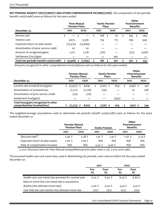**NET PERIODIC BENEFIT COST/(CREDIT) AND OTHER COMPREHENSIVE INCOME/(LOSS)** The components of net periodic benefit cost/(credit) were as follows for the years ended:

|                                          |               | <b>Penn Mutual</b><br><b>Pension Plans</b> | <b>Vantis Pension</b><br><b>Plans</b> |      | Utner<br>Postretirement<br><b>Benefits</b> |      |     |       |
|------------------------------------------|---------------|--------------------------------------------|---------------------------------------|------|--------------------------------------------|------|-----|-------|
| December 31,                             | 2021          | 2020                                       | 2021                                  | 2020 |                                            | 2021 |     | 2020  |
| Service cost                             |               |                                            | 108<br>-\$                            | 91   | \$                                         | 343  | \$. | 299   |
| Interest cost                            | 3,675         | 5,536                                      | 154                                   | 115  |                                            | 294  |     | 444   |
| Expected return on plan assets           | (15,374)      | (14,669)                                   |                                       |      |                                            |      |     |       |
| Amortization of prior service credit     | 20            | 20                                         |                                       |      |                                            |      |     |       |
| Amount of recognized gains               | 1,771         | 1,218                                      | (76)                                  |      |                                            | (75) |     | (208) |
| Settlement (loss)/gain                   |               |                                            |                                       | 395  |                                            |      |     |       |
| Total net periodic benefit cost/(credit) | (9,908)<br>\$ | (7,895)                                    | \$<br>186<br>Ŝ                        | 601  | \$                                         | 562  | .s  | 535   |

Amounts recognized in other comprehensive income/(loss) were as follows for the years ended:

|                                                                      | <b>Pension Mutual</b><br><b>Pension Plans</b> |         | <b>Vantis Pension</b><br><b>Plans</b> |         |  |          | Other<br>Postretirement<br><b>Benefits</b> |  |          |      |
|----------------------------------------------------------------------|-----------------------------------------------|---------|---------------------------------------|---------|--|----------|--------------------------------------------|--|----------|------|
| December 31.                                                         |                                               | 2021    |                                       | 2020    |  | 2021     | 2020                                       |  | 2021     | 2020 |
| Current year actuarial loss/(gain)                                   |                                               | (5,932) |                                       | 9,845   |  | (200) \$ | 659                                        |  | (436) \$ | 541  |
| Amortization of actuarial loss                                       |                                               | (1,771) |                                       | (1,218) |  | (76)     |                                            |  | 75       | 208  |
| Amortization of prior service credit                                 |                                               | (20)    |                                       | (20)    |  |          |                                            |  |          |      |
| Settlement loss/(gain)                                               |                                               |         |                                       |         |  |          | (395)                                      |  |          |      |
| Total loss/(gain) recognized in other<br>comprehensive income/(loss) |                                               | (7,723) |                                       | 8,607   |  | (276) \$ | 264                                        |  | (361) \$ | 749  |

The weighted-average assumptions used to determine net periodic benefit cost/(credit) were as follows for the years ended December 31:

|                                | <b>Pension Mutual</b><br><b>Pension Plans</b> |          | <b>Vantis Pension</b> |          | Other<br>Postretirement<br><b>Benefits</b> |       |  |  |
|--------------------------------|-----------------------------------------------|----------|-----------------------|----------|--------------------------------------------|-------|--|--|
|                                | 2021                                          | 2020     | 2021                  | 2020     | 2021                                       | 2020  |  |  |
| Discount rate <sup>(1)</sup>   | 2.49%                                         | 3.28%    | 2.91%                 | $2.91\%$ | 2.50%                                      | 3.24% |  |  |
| Expected return on plan assets | 7.00%                                         | $7.00\%$ | N/A                   | N/A      | N/A                                        | N/A   |  |  |
| Rate of compensation increase  | N/A                                           | N/A      | 4.00 $%$              | 4.00%    | N/A                                        | N/A   |  |  |

(1) 2021 Discount rates for Penn Mutual nonqualified pension plans were 2.13%, 2.02%, and 0.96%.

The assumed health care cost trend rates used in determining net periodic costs were as follow for the years ended December 31:

|                                                      | 2021       |             | 2020       |             |
|------------------------------------------------------|------------|-------------|------------|-------------|
|                                                      | Pre-<br>65 | Post-<br>65 | Pre-<br>65 | Post-<br>65 |
| Health care cost trend rate assumed for current year | 6.25%      | 6.50 $%$    | 6.50 $%$   | 6.80%       |
| Rate to which the cost trend rate is assumed to      |            |             |            |             |
| decline (the ultimate trend rate)                    | 5.00%      | 5.00%       | 4.50 $%$   | 4.50%       |
| Year that the rate reaches the ultimate trend rate   | 2027       | 2027        | 2027       | 2027        |

 $\sim$   $\blacksquare$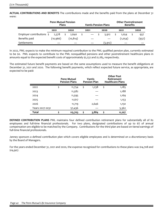**ACTUAL CONTRIBUTIONS AND BENEFITS** The contributions made and the benefits paid from the plans at December 31 were:

|                                      | <b>Penn Mutual Pension</b><br><b>Plans</b> |           |  |          | <b>Vantis Pension Plans</b> |      | <b>Other Postretirement</b><br><b>Benefits</b> |  |         |  |       |
|--------------------------------------|--------------------------------------------|-----------|--|----------|-----------------------------|------|------------------------------------------------|--|---------|--|-------|
|                                      |                                            | 2021      |  | 2020     |                             | 2021 | 2020                                           |  | 2021    |  | 2020  |
| Employer contributions $\frac{1}{2}$ |                                            | 2,378     |  | 2.640    |                             |      | 5,912                                          |  | 1,054   |  | 937   |
| Benefits paid                        |                                            | (10, 966) |  | (10,814) |                             |      |                                                |  | (1,054) |  | (937) |
| <b>Settlements</b>                   |                                            |           |  |          |                             |      | (5,912)                                        |  |         |  |       |

In 2022, PML expects to make the minimum required contribution to the PML qualified pension plan, currently estimated to be \$0. PML expects to contribute to the PML nonqualified pensions and other postretirement healthcare plans in amounts equal to the expected benefit costs of approximately \$2,232 and \$1,185, respectively.

The estimated future benefit payments are based on the same assumptions used to measure the benefit obligations at December 31, 2021 and 2020. The following benefit payments, which reflect expected future service, as appropriate, are expected to be paid:

|                 | Penn Mutual<br><b>Pension Plans</b> |    | Vantis<br><b>Pension Plan</b> | <b>Other Post</b><br>Retirement<br><b>Healthcare Plans</b> |        |  |  |
|-----------------|-------------------------------------|----|-------------------------------|------------------------------------------------------------|--------|--|--|
| 2022            | \$<br>11,754                        | \$ | 1,238                         | \$                                                         | 1,185  |  |  |
| 2023            | 11,582                              |    |                               |                                                            | 1,188  |  |  |
| 2024            | 11,595                              |    |                               |                                                            | 1,169  |  |  |
| 2025            | 11,617                              |    |                               |                                                            | 1,153  |  |  |
| 2026            | 11,719                              |    | 2,646                         |                                                            | 1,150  |  |  |
| Years 2027-2031 | 57,436                              |    |                               |                                                            | 5,362  |  |  |
| Total           | \$<br>115,703                       | \$ | 3,884                         | \$                                                         | 11,207 |  |  |

**DEFINED CONTRIBUTION PLANS** PML maintains four defined contribution retirement plans for substantially all of its employees and full-time financial professionals. For two plans, designated contributions of up to 6% of annual compensation are eligible to be matched by the Company. Contributions for the third plan are based on tiered earnings of full-time financial professionals.

Janney sponsors a defined contribution plan which covers eligible employees and is determined on a discretionary basis by the Board of Managers.

For the years ended December 31, 2021 and 2020, the expense recognized for contributions to these plans was \$14,708 and \$14,907.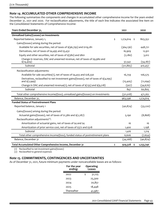# *Note 14.* **ACCUMULATED OTHER COMPREHENSIVE INCOME**

The following summarizes the components and changes in accumulated other comprehensive income for the years ended December 31, 2021 and 2020. For reclassification adjustments, the title of each line indicates the associated line item on the Consolidated Statements of Comprehensive Income:

| Years Ended December 31,                                                                                          | 2021               | 2020      |
|-------------------------------------------------------------------------------------------------------------------|--------------------|-----------|
| <b>Unrealized Gains/(Losses) on Investments</b>                                                                   |                    |           |
| Reported balance, January 1,                                                                                      | \$<br>1,274,614 \$ | 803,352   |
| Gains/(losses) arising during the period:                                                                         |                    |           |
| Available for sale securities, net of taxes of \$(96,795) and \$119,281                                           | (364, 136)         | 448,721   |
| Derivatives, net of taxes of \$4,495 and \$3,432                                                                  | 16,909             | 12,911    |
| Equity and other securities, net of taxes of \$(580) and \$801                                                    | (2,180)            | 3,012     |
| Change in reserves, DAC and unearned revenue, net of taxes of \$9,980 and<br>$\frac{1}{2}(14, 404)$               | 37,542             | (54, 187) |
| Subtotal                                                                                                          | (311, 865)         | 410,457   |
| Reclassification adjustments:                                                                                     |                    |           |
| Available for sale securities(1), net of taxes of \$4,455 and \$28,330                                            | 16,759             | 106,575   |
| Derivatives, reclassified to net investment gains/(losses), net of taxes of \$(4,095)<br>and $\frac{2}{3}(2,949)$ | (15, 405)          | (11,094)  |
| Change in DAC and unearned revenue(1), net of taxes of \$(135) and \$(9,218)                                      | (507)              | (34, 676) |
| Subtotal                                                                                                          | 847                | 60,805    |
| Total other comprehensive income/(loss), unrealized gains/(losses) on investments                                 | (311,018)          | 471,262   |
| Balance, December 31,                                                                                             | 963,596            | 1,274,614 |
| <b>Funded Status of Postretirement Plans</b>                                                                      |                    |           |
| Reported balance, January 1                                                                                       | (40, 874)          | (33, 220) |
| Gains/(losses) arising during the period:                                                                         |                    |           |
| Actuarial gains/(losses), net of taxes of \$1,380 and \$(2,287)                                                   | 5,190              | (8,868)   |
| Reclassification adjustments <sup>(2)</sup> :                                                                     |                    |           |
| Amortization of actuarial gains, net of taxes of \$4 and \$4                                                      | 16                 | 16        |
| Amortization of prior service cost, net of taxes of \$372 and \$318                                               | 1,400              | 1,198     |
| Subtotal                                                                                                          | 1,416              | 1,214     |
| Total other comprehensive income/(loss), funded status of postretirement plans                                    | 6,606              | (7, 654)  |
| Balance, December 31                                                                                              | (34, 268)          | (40, 874) |
| Total Accumulated Other Comprehensive Income, December 31                                                         | \$<br>929,328 \$   | 1,233,740 |

(1) Reclassified to net investment gains/(losses)

(2) Reclassified to general expenses

# *Note 15.* **COMMITMENTS, CONTINGENCIES AND UNCERTAINTIES**

As of December 31, 2021, future minimum payments under noncancellable leases are as follows:

| For the year<br>ending: |   | Operating<br>Leases |
|-------------------------|---|---------------------|
| 2022                    | Ś | 31,125              |
| 2023                    |   | 25,300              |
| 2024                    |   | 20,851              |
| 2025                    |   | 18,448              |
| Thereafter              |   | 41,987              |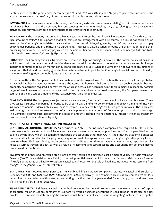Rental expense for the years ended December 31, 2021 and 2020 was \$38,983 and \$61,318, respectively. Included in the 2020 expense was a charge of \$22,989 related to terminated leases and related costs.

**INVESTMENTS** In the normal course of business, the Company extends commitments relating to its investment activities. As of December 31, 2021, the Company had outstanding commitments totaling \$555,939, relating to these investment activities. The fair value of these commitments approximates the face amount.

**REINSURANCE** The Company has an adjustable 20 year, non-interest bearing financial instrument ("LLC") with a current face amount of \$741,339 to support a modified coinsurance arrangement with a reinsurer. The LLC is not carried as an asset on the Company's consolidated balance sheet. Upon certain triggering events, the LLC may be called upon to pay policyholder benefits under a reinsurance agreement. Interest is payable when amounts are drawn upon at the then prevailing prime rate. The Company pays a fee on the amount financed. For the years ended December 31, 2021 and 2020, total fees incurred were \$6,181 and \$5,854, respectively.

**LITIGATION** The Company and its subsidiaries are involved in litigation arising in and out of the normal course of business, which seek both compensatory and punitive damages. In addition, the regulators within the insurance and brokerage industries continue to focus on market conduct and compliance issues. While the Company is not aware of any actions or allegations that should reasonably give rise to a material adverse impact to the Company's financial position or liquidity, the outcome of litigation cannot be foreseen with certainty.

For some matters, the Company is able to estimate a possible range of loss. For such matters in which a loss is probable, an accrual has been made. For matters where the Company, however, believes a loss is reasonably possible, but not probable, no accrual is required. For matters for which an accrual has been made, but there remains a reasonably possible range of loss in excess of the amounts accrued or for matters where no accrual is required, the Company develops an estimate of the unaccrued amounts of the reasonably possible range of losses.

**GUARANTY FUNDS** The Company is subject to insurance guaranty fund laws in the states in which it does business. These laws assess insurance companies' amounts to be used to pay benefits to policyholders and policy claimants of insolvent insurance companies. Many states allow these assessments to be credited against future premium taxes. The liability for estimated guaranty fund assessments net of applicable premium tax credits as of December 31, 2021 and 2020 was \$235. The Company believes such assessments in excess of amounts accrued will not materially impact its financial statement position, results of operation, or liquidity.

# *Note 16.* **STATUTORY FINANCIAL INFORMATION**

**STATUTORY ACCOUNTING PRINCIPLES** As described in Note 1, the insurance companies are required to file financial statements with their state of domicile in accordance with statutory accounting practices prescribed or permitted and as codified by the NAIC, which is a comprehensive basis of accounting other than GAAP. The Statutory accounting practices primarily differ from GAAP by charging policy acquisition costs to expense as incurred, recognizing certain policy fees as revenue when billed, establishing future policy benefit liabilities using different actuarial assumptions, reporting surplus notes as surplus instead of debt, as well as valuing investments and certain assets and accounting for deferred income taxes on a different basis.

Investments in bonds and preferred stocks are generally carried at amortized cost or market value. An Asset Valuation Reserve ("AVR") is established as a liability to offset potential investment losses and an Interest Maintenance Reserve ("IMR") is established as a liability to capture capital gains/(losses) on the sale of fixed income investments, resulting from changes in the general level of interest rates.

**STATUTORY NET INCOME AND SURPLUS** The combined life insurance companies' statutory capital and surplus at December 31, 2021 and 2020 was \$2,571,599 and \$2,261,031, respectively. The combined life insurance companies' net loss, determined in accordance with statutory accounting practices, for the years ended December 31, 2021 and 2020 was \$(194,956) and \$(65,934), respectively.

**RISK-BASED CAPITAL** Risk-based capital is a method developed by the NAIC to measure the minimum amount of capital appropriate for an insurance company to support its overall business operations in consideration of its size and risk profile. The formulas for determining the amount of risk-based capital specify various weighting factors that are applied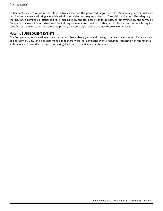to financial balances or various levels of activity based on the perceived degree of risk. Additionally, certain risks are required to be measured using actuarial cash flow modeling techniques, subject to formulaic minimums. The adequacy of the insurance companies' actual capital is measured by the risk-based capital results, as determined by the formulas. Companies below minimum risk-based capital requirements are classified within certain levels, each of which requires specified corrective action. At December 31, 2021, the Company's surplus exceeds these minimum levels.

# *Note 17.* **SUBSEQUENT EVENTS**

The Company has evaluated events subsequent to December 31, 2021 and through the financial statement issuance date of February 23, 2022 and has determined that there were no significant events requiring recognition in the financial statements and no additional events requiring disclosure in the financial statements.